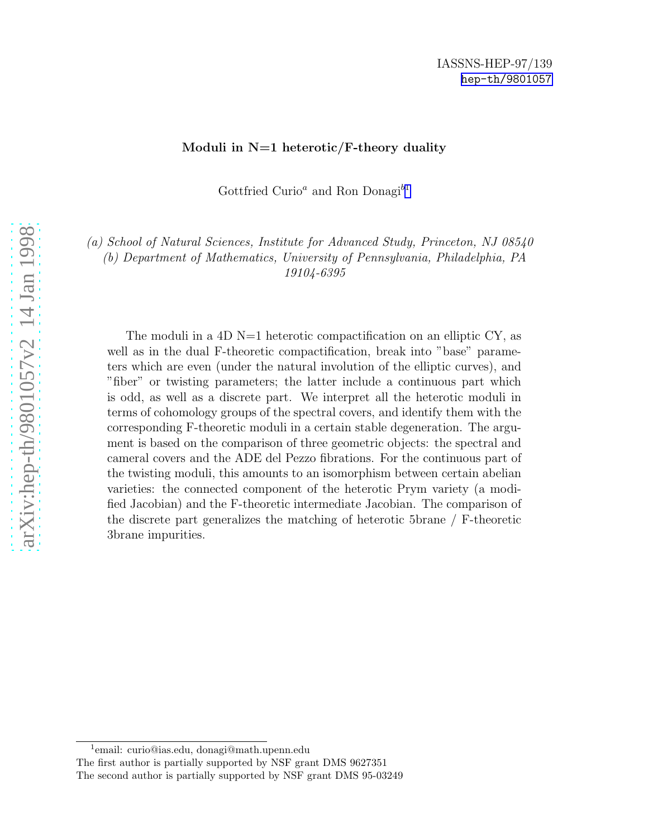#### Moduli in  $N=1$  heterotic/F-theory duality

Gottfried Curio<sup>a</sup> and Ron Donagi<sup>b1</sup>

(a) School of Natural Sciences, Institute for Advanced Study, Princeton, NJ 08540 (b) Department of Mathematics, University of Pennsylvania, Philadelphia, PA 19104-6395

The moduli in a 4D  $N=1$  heterotic compactification on an elliptic CY, as well as in the dual F-theoretic compactification, break into "base" parameters which are even (under the natural involution of the elliptic curves), and "fiber" or twisting parameters; the latter include a continuous part which is odd, as well as a discrete part. We interpret all the heterotic moduli in terms of cohomology groups of the spectral covers, and identify them with the corresponding F-theoretic moduli in a certain stable degeneration. The argument is based on the comparison of three geometric objects: the spectral and cameral covers and the ADE del Pezzo fibrations. For the continuous part of the twisting moduli, this amounts to an isomorphism between certain abelian varieties: the connected component of the heterotic Prym variety (a modified Jacobian) and the F-theoretic intermediate Jacobian. The comparison of the discrete part generalizes the matching of heterotic 5brane / F-theoretic 3brane impurities.

<sup>1</sup> email: curio@ias.edu, donagi@math.upenn.edu

The first author is partially supported by NSF grant DMS 9627351 The second author is partially supported by NSF grant DMS 95-0324 9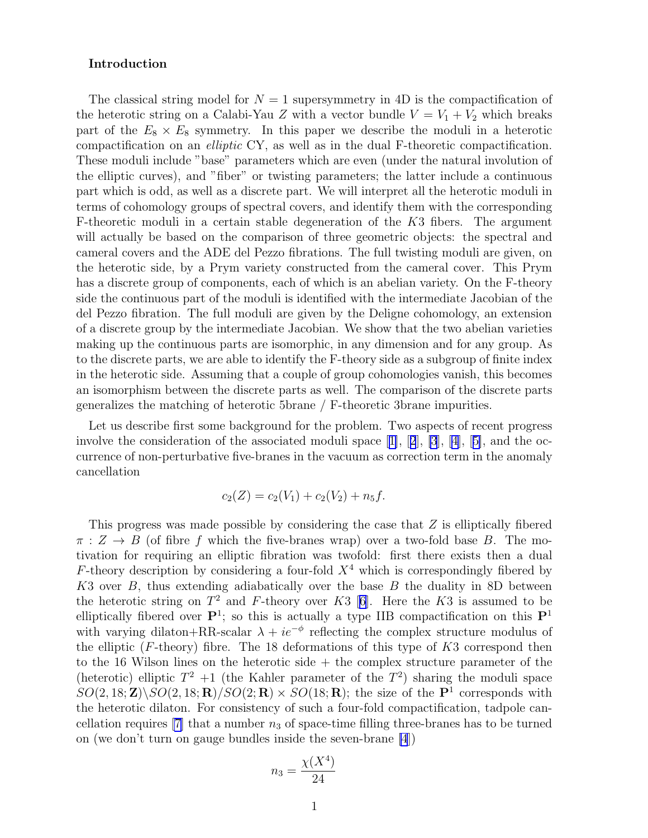### Introduction

The classical string model for  $N = 1$  supersymmetry in 4D is the compactification of the heterotic string on a Calabi-Yau Z with a vector bundle  $V = V_1 + V_2$  which breaks part of the  $E_8 \times E_8$  symmetry. In this paper we describe the moduli in a heterotic compactification on an elliptic CY, as well as in the dual F-theoretic compactification. These moduli include "base" parameters which are even (under the natural involution of the elliptic curves), and "fiber" or twisting parameters; the latter include a continuous part which is odd, as well as a discrete part. We will interpret all the heterotic moduli in terms of cohomology groups of spectral covers, and identify them with the corresponding F-theoretic moduli in a certain stable degeneration of the K3 fibers. The argument will actually be based on the comparison of three geometric objects: the spectral and cameral covers and the ADE del Pezzo fibrations. The full twisting moduli are given, on the heterotic side, by a Prym variety constructed from the cameral cover. This Prym has a discrete group of components, each of which is an abelian variety. On the F-theory side the continuous part of the moduli is identified with the intermediate Jacobian of the del Pezzo fibration. The full moduli are given by the Deligne cohomology, an extension of a discrete group by the intermediate Jacobian. We show that the two abelian varieties making up the continuous parts are isomorphic, in any dimension and for any group. As to the discrete parts, we are able to identify the F-theory side as a subgroup of finite index in the heterotic side. Assuming that a couple of group cohomologies vanish, this becomes an isomorphism between the discrete parts as well. The comparison of the discrete parts generalizes the matching of heterotic 5brane / F-theoretic 3brane impurities.

Let us describe first some background for the problem. Two aspects of recent progress involve the consideration of the associated moduli space[[1\]](#page-25-0),[[2](#page-25-0)], [\[3](#page-25-0)], [\[4\]](#page-26-0), [[5\]](#page-26-0), and the occurrence of non-perturbative five-branes in the vacuum as correction term in the anomaly cancellation

$$
c_2(Z) = c_2(V_1) + c_2(V_2) + n_5f.
$$

This progress was made possible by considering the case that Z is elliptically fibered  $\pi : Z \to B$  (of fibre f which the five-branes wrap) over a two-fold base B. The motivation for requiring an elliptic fibration was twofold: first there exists then a dual F-theory description by considering a four-fold  $X<sup>4</sup>$  which is correspondingly fibered by K3 over  $B$ , thus extending adiabatically over the base  $B$  the duality in 8D between theheterotic string on  $T^2$  and F-theory over K3 [[6\]](#page-26-0). Here the K3 is assumed to be elliptically fibered over  $\mathbf{P}^1$ ; so this is actually a type IIB compactification on this  $\mathbf{P}^1$ with varying dilaton+RR-scalar  $\lambda + ie^{-\phi}$  reflecting the complex structure modulus of the elliptic  $(F\text{-theory})$  fibre. The 18 deformations of this type of  $K3$  correspond then to the 16 Wilson lines on the heterotic side + the complex structure parameter of the (heterotic) elliptic  $T^2 + 1$  (the Kahler parameter of the  $T^2$ ) sharing the moduli space  $SO(2, 18; \mathbf{Z})\backslash SO(2, 18; \mathbf{R})/SO(2; \mathbf{R})\times SO(18; \mathbf{R})$ ; the size of the  $\mathbf{P}^1$  corresponds with the heterotic dilaton. For consistency of such a four-fold compactification, tadpole cancellation requires  $[7]$  that a number  $n_3$  of space-time filling three-branes has to be turned on (we don't turn on gauge bundles inside the seven-brane [\[4](#page-26-0)])

$$
n_3 = \frac{\chi(X^4)}{24}
$$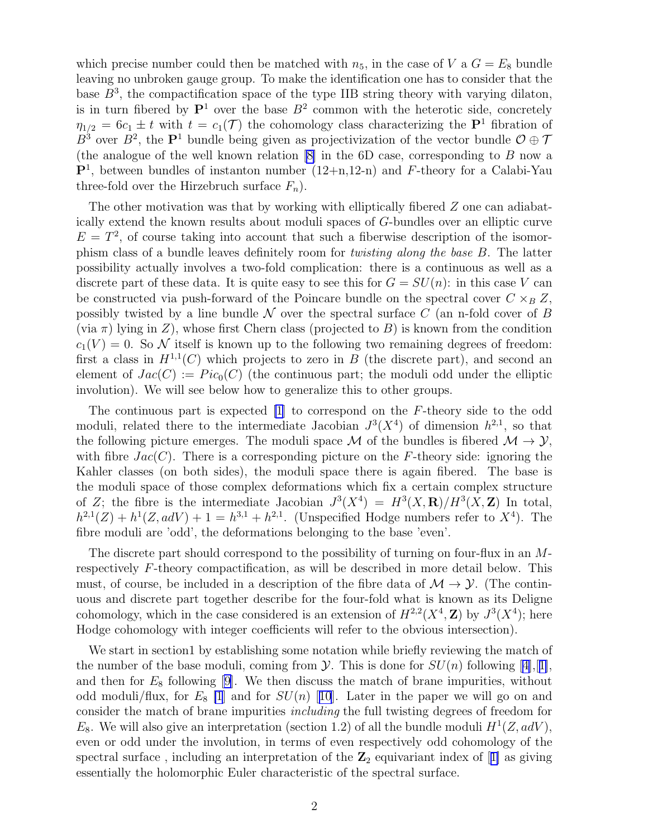which precise number could then be matched with  $n_5$ , in the case of V a  $G = E_8$  bundle leaving no unbroken gauge group. To make the identification one has to consider that the base  $B^3$ , the compactification space of the type IIB string theory with varying dilaton, is in turn fibered by  $\mathbf{P}^1$  over the base  $B^2$  common with the heterotic side, concretely  $\eta_{1/2} = 6c_1 \pm t$  with  $t = c_1(\mathcal{T})$  the cohomology class characterizing the  $\mathbf{P}^1$  fibration of  $B^3$  over  $B^2$ , the  $\mathbf{P}^1$  bundle being given as projectivization of the vector bundle  $\mathcal{O} \oplus \mathcal{T}$ (the analogue of the well known relation  $[8]$  in the 6D case, corresponding to B now a  $\mathbf{P}^1$ , between bundles of instanton number  $(12+n,12-n)$  and F-theory for a Calabi-Yau three-fold over the Hirzebruch surface  $F_n$ ).

The other motivation was that by working with elliptically fibered  $Z$  one can adiabatically extend the known results about moduli spaces of G-bundles over an elliptic curve  $E = T<sup>2</sup>$ , of course taking into account that such a fiberwise description of the isomorphism class of a bundle leaves definitely room for twisting along the base B. The latter possibility actually involves a two-fold complication: there is a continuous as well as a discrete part of these data. It is quite easy to see this for  $G = SU(n)$ : in this case V can be constructed via push-forward of the Poincare bundle on the spectral cover  $C \times_B Z$ , possibly twisted by a line bundle  $\mathcal N$  over the spectral surface C (an n-fold cover of B (via  $\pi$ ) lying in Z), whose first Chern class (projected to B) is known from the condition  $c_1(V) = 0$ . So N itself is known up to the following two remaining degrees of freedom: first a class in  $H^{1,1}(C)$  which projects to zero in B (the discrete part), and second an element of  $Jac(C) := Pic_0(C)$  (the continuous part; the moduli odd under the elliptic involution). We will see below how to generalize this to other groups.

The continuous part is expected [\[1](#page-25-0)] to correspond on the F-theory side to the odd moduli, related there to the intermediate Jacobian  $J^3(X^4)$  of dimension  $h^{2,1}$ , so that the following picture emerges. The moduli space M of the bundles is fibered  $M \to Y$ , with fibre  $Jac(C)$ . There is a corresponding picture on the F-theory side: ignoring the Kahler classes (on both sides), the moduli space there is again fibered. The base is the moduli space of those complex deformations which fix a certain complex structure of Z; the fibre is the intermediate Jacobian  $J^3(X^4) = H^3(X, \mathbf{R})/H^3(X, \mathbf{Z})$  In total,  $h^{2,1}(Z) + h^{1}(Z, adV) + 1 = h^{3,1} + h^{2,1}$ . (Unspecified Hodge numbers refer to  $X^{4}$ ). The fibre moduli are 'odd', the deformations belonging to the base 'even'.

The discrete part should correspond to the possibility of turning on four-flux in an Mrespectively F-theory compactification, as will be described in more detail below. This must, of course, be included in a description of the fibre data of  $\mathcal{M} \to \mathcal{Y}$ . (The continuous and discrete part together describe for the four-fold what is known as its Deligne cohomology, which in the case considered is an extension of  $H^{2,2}(X^4, \mathbb{Z})$  by  $J^3(X^4)$ ; here Hodge cohomology with integer coefficients will refer to the obvious intersection).

We start in section1 by establishing some notation while briefly reviewing the match of the number of the base moduli, coming from  $\mathcal Y$ . This is done for  $SU(n)$  following [\[4\]](#page-26-0),[[1\]](#page-25-0), and then for  $E_8$  following [\[9](#page-26-0)]. We then discuss the match of brane impurities, without oddmoduli/flux, for  $E_8$  [\[1](#page-25-0)] and for  $SU(n)$  [[10](#page-26-0)]. Later in the paper we will go on and consider the match of brane impurities including the full twisting degrees of freedom for  $E_8$ . We will also give an interpretation (section 1.2) of all the bundle moduli  $H^1(Z, adV)$ , even or odd under the involution, in terms of even respectively odd cohomology of the spectralsurface, including an interpretation of the  $\mathbb{Z}_2$  equivariant index of [[1\]](#page-25-0) as giving essentially the holomorphic Euler characteristic of the spectral surface.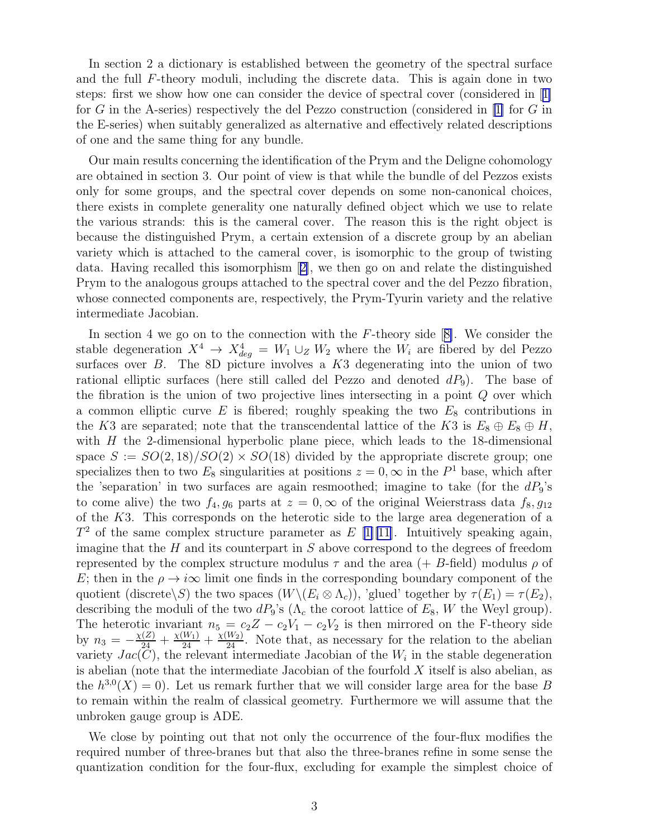In section 2 a dictionary is established between the geometry of the spectral surface and the full F-theory moduli, including the discrete data. This is again done in two steps: first we show how one can consider the device of spectral cover (considered in[[1\]](#page-25-0) for G in the A-series) respectively the del Pezzo construction (considered in [\[1\]](#page-25-0) for G in the E-series) when suitably generalized as alternative and effectively related descriptions of one and the same thing for any bundle.

Our main results concerning the identification of the Prym and the Deligne cohomology are obtained in section 3. Our point of view is that while the bundle of del Pezzos exists only for some groups, and the spectral cover depends on some non-canonical choices, there exists in complete generality one naturally defined object which we use to relate the various strands: this is the cameral cover. The reason this is the right object is because the distinguished Prym, a certain extension of a discrete group by an abelian variety which is attached to the cameral cover, is isomorphic to the group of twisting data. Having recalled this isomorphism[[2\]](#page-25-0), we then go on and relate the distinguished Prym to the analogous groups attached to the spectral cover and the del Pezzo fibration, whose connected components are, respectively, the Prym-Tyurin variety and the relative intermediate Jacobian.

Insection 4 we go on to the connection with the  $F$ -theory side  $[8]$  $[8]$ . We consider the stable degeneration  $X^4 \rightarrow X^4_{deg} = W_1 \cup_Z W_2$  where the  $W_i$  are fibered by del Pezzo surfaces over  $B$ . The 8D picture involves a  $K3$  degenerating into the union of two rational elliptic surfaces (here still called del Pezzo and denoted  $dP_9$ ). The base of the fibration is the union of two projective lines intersecting in a point Q over which a common elliptic curve  $E$  is fibered; roughly speaking the two  $E_8$  contributions in the K3 are separated; note that the transcendental lattice of the K3 is  $E_8 \oplus E_8 \oplus H$ , with  $H$  the 2-dimensional hyperbolic plane piece, which leads to the 18-dimensional space  $S := SO(2, 18)/SO(2) \times SO(18)$  divided by the appropriate discrete group; one specializes then to two  $E_8$  singularities at positions  $z = 0$ ,  $\infty$  in the  $P<sup>1</sup>$  base, which after the 'separation' in two surfaces are again resmoothed; imagine to take (for the  $dP_9$ 's to come alive) the two  $f_4, g_6$  parts at  $z = 0, \infty$  of the original Weierstrass data  $f_8, g_{12}$ of the K3. This corresponds on the heterotic side to the large area degeneration of a  $T^2$  of the same complex structure parameter as E [[1\]](#page-25-0)[\[11](#page-26-0)]. Intuitively speaking again, imagine that the  $H$  and its counterpart in  $S$  above correspond to the degrees of freedom represented by the complex structure modulus  $\tau$  and the area  $(+ B\text{-field})$  modulus  $\rho$  of E; then in the  $\rho \rightarrow i\infty$  limit one finds in the corresponding boundary component of the quotient (discrete\S) the two spaces  $(W\setminus (E_i \otimes \Lambda_c))$ , 'glued' together by  $\tau(E_1) = \tau(E_2)$ , describing the moduli of the two  $dP_9$ 's ( $\Lambda_c$  the coroot lattice of  $E_8$ , W the Weyl group). The heterotic invariant  $n_5 = c_2Z - c_2V_1 - c_2V_2$  is then mirrored on the F-theory side by  $n_3 = -\frac{\chi(Z)}{24} + \frac{\chi(W_1)}{24} + \frac{\chi(W_2)}{24}$ . Note that, as necessary for the relation to the abelian variety  $Jac(C)$ , the relevant intermediate Jacobian of the  $W_i$  in the stable degeneration is abelian (note that the intermediate Jacobian of the fourfold  $X$  itself is also abelian, as the  $h^{3,0}(X) = 0$ ). Let us remark further that we will consider large area for the base B to remain within the realm of classical geometry. Furthermore we will assume that the unbroken gauge group is ADE.

We close by pointing out that not only the occurrence of the four-flux modifies the required number of three-branes but that also the three-branes refine in some sense the quantization condition for the four-flux, excluding for example the simplest choice of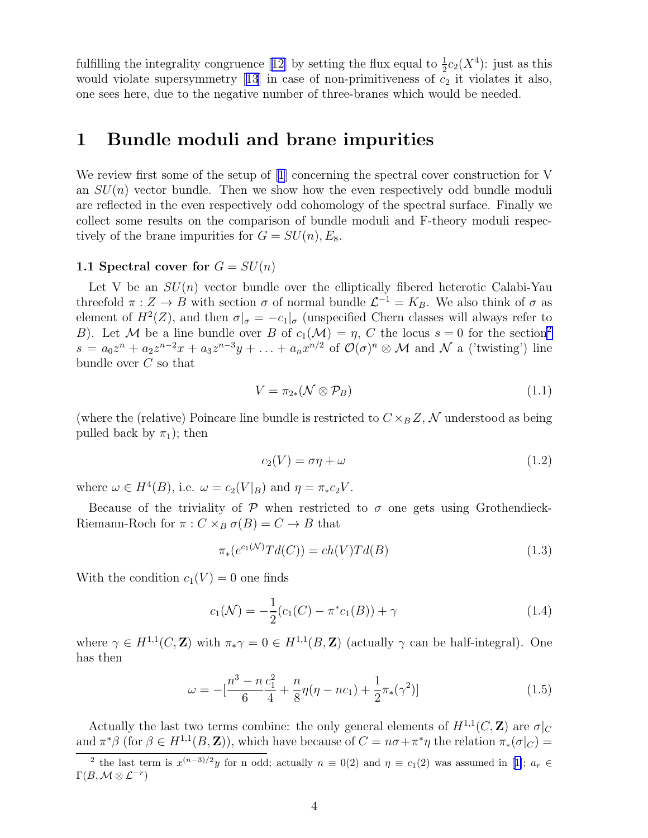fulfillingthe integrality congruence [[12\]](#page-26-0) by setting the flux equal to  $\frac{1}{2}c_2(X^4)$ : just as this wouldviolate supersymmetry  $[13]$  $[13]$  $[13]$  in case of non-primitiveness of  $c_2$  it violates it also, one sees here, due to the negative number of three-branes which would be needed.

# 1 Bundle moduli and brane impurities

We review first some of the setup of [\[1\]](#page-25-0) concerning the spectral cover construction for V an  $SU(n)$  vector bundle. Then we show how the even respectively odd bundle moduli are reflected in the even respectively odd cohomology of the spectral surface. Finally we collect some results on the comparison of bundle moduli and F-theory moduli respectively of the brane impurities for  $G = SU(n), E_8$ .

### 1.1 Spectral cover for  $G = SU(n)$

Let V be an  $SU(n)$  vector bundle over the elliptically fibered heterotic Calabi-Yau threefold  $\pi: Z \to B$  with section  $\sigma$  of normal bundle  $\mathcal{L}^{-1} = K_B$ . We also think of  $\sigma$  as element of  $H^2(Z)$ , and then  $\sigma|_{\sigma} = -c_1|_{\sigma}$  (unspecified Chern classes will always refer to B). Let M be a line bundle over B of  $c_1(\mathcal{M}) = \eta$ , C the locus  $s = 0$  for the section<sup>2</sup>  $s = a_0 z^n + a_2 z^{n-2} x + a_3 z^{n-3} y + \ldots + a_n x^{n/2}$  of  $\mathcal{O}(\sigma)^n \otimes \mathcal{M}$  and  $\mathcal{N}$  a ('twisting') line bundle over C so that

$$
V = \pi_{2*}(\mathcal{N} \otimes \mathcal{P}_B) \tag{1.1}
$$

(where the (relative) Poincare line bundle is restricted to  $C \times_B Z$ , N understood as being pulled back by  $\pi_1$ ); then

$$
c_2(V) = \sigma \eta + \omega \tag{1.2}
$$

where  $\omega \in H^4(B)$ , i.e.  $\omega = c_2(V|_B)$  and  $\eta = \pi_* c_2 V$ .

Because of the triviality of  $\mathcal P$  when restricted to  $\sigma$  one gets using Grothendieck-Riemann-Roch for  $\pi$ :  $C \times_B \sigma(B) = C \rightarrow B$  that

$$
\pi_*(e^{c_1(\mathcal{N})}Td(C)) = ch(V)Td(B)
$$
\n
$$
(1.3)
$$

With the condition  $c_1(V) = 0$  one finds

$$
c_1(\mathcal{N}) = -\frac{1}{2}(c_1(C) - \pi^*c_1(B)) + \gamma \tag{1.4}
$$

where  $\gamma \in H^{1,1}(C, \mathbf{Z})$  with  $\pi_* \gamma = 0 \in H^{1,1}(B, \mathbf{Z})$  (actually  $\gamma$  can be half-integral). One has then

$$
\omega = -\left[\frac{n^3 - n\,c_1^2}{6} + \frac{n}{8}\eta(\eta - nc_1) + \frac{1}{2}\pi_*(\gamma^2)\right]
$$
(1.5)

Actually the last two terms combine: the only general elements of  $H^{1,1}(C,\mathbf{Z})$  are  $\sigma|_C$ and  $\pi^*\beta$  (for  $\beta \in H^{1,1}(B, \mathbb{Z})$ ), which have because of  $C = n\sigma + \pi^*\eta$  the relation  $\pi_*(\sigma|_C)$ 

<sup>&</sup>lt;sup>2</sup>the last term is  $x^{(n-3)/2}y$  for n odd; actually  $n \equiv 0(2)$  and  $\eta \equiv c_1(2)$  was assumed in [[1\]](#page-25-0);  $a_r \in$  $\Gamma(B,\mathcal{M}\otimes\mathcal{L}^{-r})$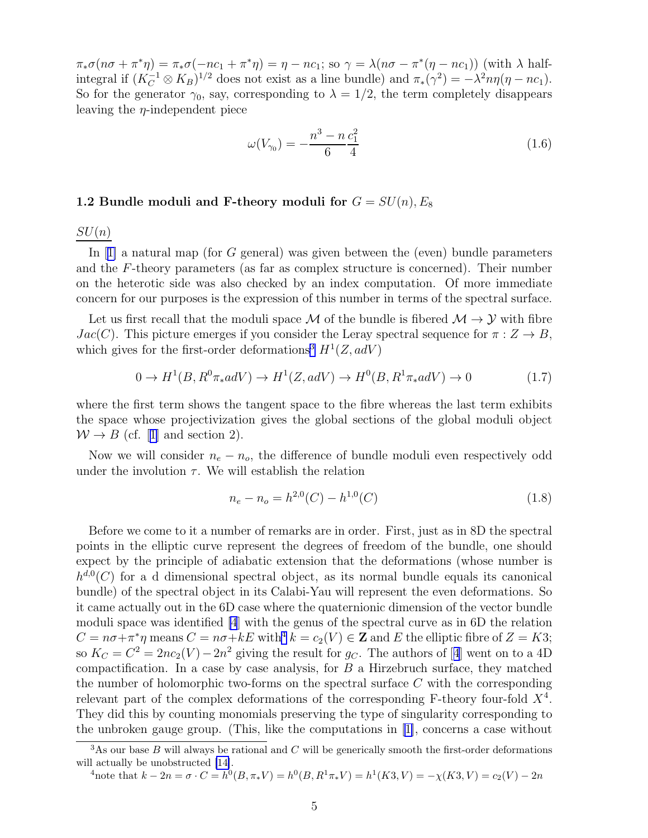$\pi_*\sigma(n\sigma + \pi^*\eta) = \pi_*\sigma(-nc_1 + \pi^*\eta) = \eta - nc_1$ ; so  $\gamma = \lambda(n\sigma - \pi^*(\eta - nc_1))$  (with  $\lambda$  halfintegral if  $(K_C^{-1} \otimes K_B)^{1/2}$  does not exist as a line bundle) and  $\pi_*(\gamma^2) = -\lambda^2 n \eta(\eta - nc_1)$ . So for the generator  $\gamma_0$ , say, corresponding to  $\lambda = 1/2$ , the term completely disappears leaving the  $\eta$ -independent piece

$$
\omega(V_{\gamma_0}) = -\frac{n^3 - n}{6} \frac{c_1^2}{4} \tag{1.6}
$$

#### 1.2 Bundle moduli and F-theory moduli for  $G = SU(n), E_8$

 $SU(n)$ 

In $[1]$  $[1]$  a natural map (for G general) was given between the (even) bundle parameters and the F-theory parameters (as far as complex structure is concerned). Their number on the heterotic side was also checked by an index computation. Of more immediate concern for our purposes is the expression of this number in terms of the spectral surface.

Let us first recall that the moduli space  $\mathcal M$  of the bundle is fibered  $\mathcal M \to \mathcal Y$  with fibre  $Jac(C)$ . This picture emerges if you consider the Leray spectral sequence for  $\pi: Z \to B$ , which gives for the first-order deformations<sup>3</sup>  $H^1(Z, adV)$ 

$$
0 \to H^1(B, R^0 \pi_* adV) \to H^1(Z, adV) \to H^0(B, R^1 \pi_* adV) \to 0
$$
\n
$$
(1.7)
$$

where the first term shows the tangent space to the fibre whereas the last term exhibits the space whose projectivization gives the global sections of the global moduli object  $W \rightarrow B$  $W \rightarrow B$  $W \rightarrow B$  (cf. [[1\]](#page-25-0) and section 2).

Now we will consider  $n_e - n_o$ , the difference of bundle moduli even respectively odd under the involution  $\tau$ . We will establish the relation

$$
n_e - n_o = h^{2,0}(C) - h^{1,0}(C)
$$
\n(1.8)

Before we come to it a number of remarks are in order. First, just as in 8D the spectral points in the elliptic curve represent the degrees of freedom of the bundle, one should expect by the principle of adiabatic extension that the deformations (whose number is  $h^{d,0}(C)$  for a d dimensional spectral object, as its normal bundle equals its canonical bundle) of the spectral object in its Calabi-Yau will represent the even deformations. So it came actually out in the 6D case where the quaternionic dimension of the vector bundle moduli space was identified [\[4](#page-26-0)] with the genus of the spectral curve as in 6D the relation  $C = n\sigma + \pi^* \eta$  means  $C = n\sigma + kE$  with<sup>4</sup>  $k = c_2(V) \in \mathbb{Z}$  and E the elliptic fibre of  $Z = K3$ ; so $K_C = C^2 = 2nc_2(V) - 2n^2$  giving the result for  $g_C$ . The authors of [[4](#page-26-0)] went on to a 4D compactification. In a case by case analysis, for  $B$  a Hirzebruch surface, they matched the number of holomorphic two-forms on the spectral surface  $C$  with the corresponding relevant part of the complex deformations of the corresponding F-theory four-fold  $X^4$ . They did this by counting monomials preserving the type of singularity corresponding to the unbroken gauge group. (This, like the computations in[[1\]](#page-25-0), concerns a case without

<sup>4</sup>note that 
$$
k - 2n = \sigma \cdot C = h^0(B, \pi_* V) = h^0(B, R^1 \pi_* V) = h^1(K3, V) = -\chi(K3, V) = c_2(V) - 2n
$$

 $3$ As our base B will always be rational and C will be generically smooth the first-order deformations will actually be unobstructed [\[14\]](#page-26-0).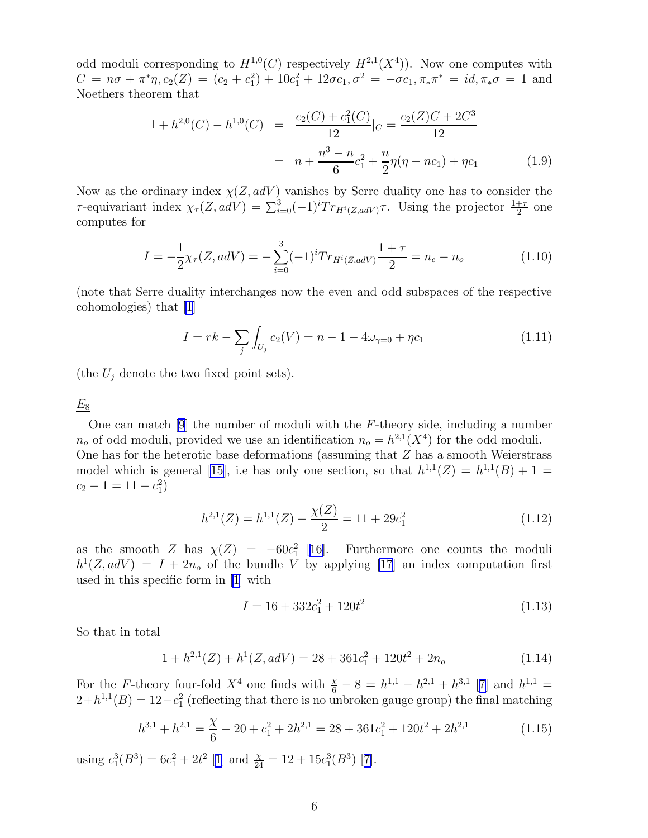odd moduli corresponding to  $H^{1,0}(C)$  respectively  $H^{2,1}(X^4)$ ). Now one computes with  $C = n\sigma + \pi^* \eta$ ,  $c_2(Z) = (c_2 + c_1^2) + 10c_1^2 + 12\sigma c_1$ ,  $\sigma^2 = -\sigma c_1$ ,  $\pi_* \pi^* = id$ ,  $\pi_* \sigma = 1$  and Noethers theorem that

$$
1 + h^{2,0}(C) - h^{1,0}(C) = \frac{c_2(C) + c_1^2(C)}{12}|_C = \frac{c_2(Z)C + 2C^3}{12}
$$

$$
= n + \frac{n^3 - n}{6}c_1^2 + \frac{n}{2}\eta(\eta - nc_1) + \eta c_1 \tag{1.9}
$$

Now as the ordinary index  $\chi(Z, adV)$  vanishes by Serre duality one has to consider the  $\tau$ -equivariant index  $\chi_{\tau}(Z, adV) = \sum_{i=0}^{3} (-1)^{i} Tr_{H^{i}(Z, adV)} \tau$ . Using the projector  $\frac{1+\tau}{2}$  one computes for

$$
I = -\frac{1}{2}\chi_{\tau}(Z, adV) = -\sum_{i=0}^{3} (-1)^{i} Tr_{H^{i}(Z, adV)} \frac{1+\tau}{2} = n_{e} - n_{o}
$$
 (1.10)

(note that Serre duality interchanges now the even and odd subspaces of the respective cohomologies) that [\[1](#page-25-0)]

$$
I = rk - \sum_{j} \int_{U_j} c_2(V) = n - 1 - 4\omega_{\gamma=0} + \eta c_1 \tag{1.11}
$$

(the  $U_j$  denote the two fixed point sets).

 $E_8$ 

One can match [\[9\]](#page-26-0) the number of moduli with the F-theory side, including a number  $n_o$  of odd moduli, provided we use an identification  $n_o = h^{2,1}(X^4)$  for the odd moduli. One has for the heterotic base deformations (assuming that Z has a smooth Weierstrass model which is general [\[15](#page-26-0)], i.e has only one section, so that  $h^{1,1}(Z) = h^{1,1}(B) + 1 =$  $c_2 - 1 = 11 - c_1^2$ 

$$
h^{2,1}(Z) = h^{1,1}(Z) - \frac{\chi(Z)}{2} = 11 + 29c_1^2 \tag{1.12}
$$

as the smooth Z has  $\chi(Z) = -60c_1^2$  [[16\]](#page-26-0). Furthermore one counts the moduli  $h^1(Z, adV) = I + 2n_o$  of the bundle V by applying [\[17](#page-26-0)] an index computation first used in this specific form in [\[1](#page-25-0)] with

$$
I = 16 + 332c_1^2 + 120t^2 \tag{1.13}
$$

So that in total

$$
1 + h^{2,1}(Z) + h^1(Z, adV) = 28 + 361c_1^2 + 120t^2 + 2n_o \tag{1.14}
$$

For the F-theory four-fold  $X^4$  one finds with  $\frac{x}{6} - 8 = h^{1,1} - h^{2,1} + h^{3,1}$  [[7\]](#page-26-0) and  $h^{1,1} =$  $2+h^{1,1}(B) = 12-c_1^2$  (reflecting that there is no unbroken gauge group) the final matching

$$
h^{3,1} + h^{2,1} = \frac{\chi}{6} - 20 + c_1^2 + 2h^{2,1} = 28 + 361c_1^2 + 120t^2 + 2h^{2,1}
$$
 (1.15)

using $c_1^3(B^3) = 6c_1^2 + 2t^2$  $c_1^3(B^3) = 6c_1^2 + 2t^2$  $c_1^3(B^3) = 6c_1^2 + 2t^2$  [1] and  $\frac{x}{24} = 12 + 15c_1^3(B^3)$  [[7\]](#page-26-0).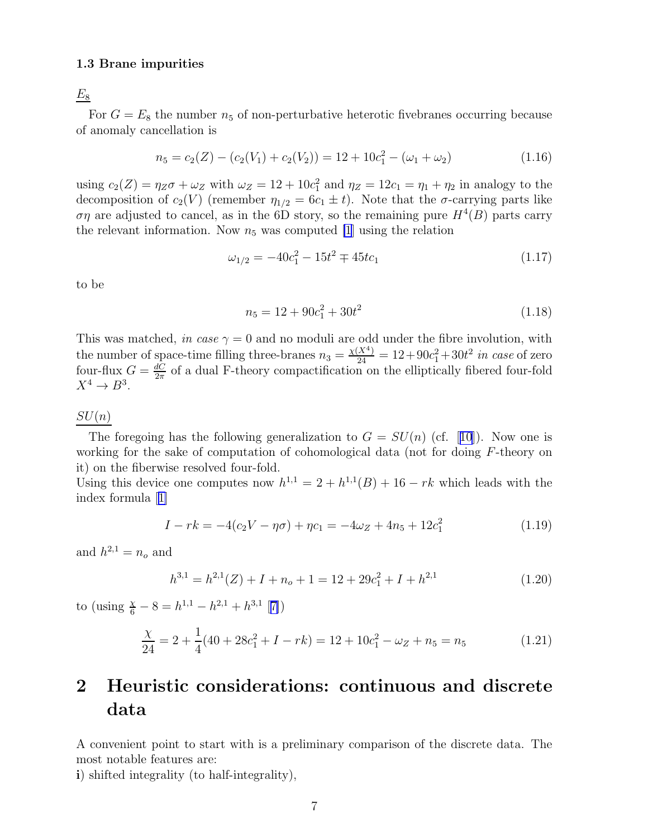#### 1.3 Brane impurities

 $E_8$ 

For  $G = E_8$  the number  $n_5$  of non-perturbative heterotic fivebranes occurring because of anomaly cancellation is

$$
n_5 = c_2(Z) - (c_2(V_1) + c_2(V_2)) = 12 + 10c_1^2 - (\omega_1 + \omega_2)
$$
\n(1.16)

using  $c_2(Z) = \eta_Z \sigma + \omega_Z$  with  $\omega_Z = 12 + 10c_1^2$  and  $\eta_Z = 12c_1 = \eta_1 + \eta_2$  in analogy to the decomposition of  $c_2(V)$  (remember  $\eta_{1/2} = 6c_1 \pm t$ ). Note that the  $\sigma$ -carrying parts like ση are adjusted to cancel, as in the 6D story, so the remaining pure  $H^4(B)$  parts carry the relevant information. Now  $n_5$  was computed [\[1](#page-25-0)] using the relation

$$
\omega_{1/2} = -40c_1^2 - 15t^2 \mp 45tc_1 \tag{1.17}
$$

to be

$$
n_5 = 12 + 90c_1^2 + 30t^2 \tag{1.18}
$$

This was matched, in case  $\gamma = 0$  and no moduli are odd under the fibre involution, with the number of space-time filling three-branes  $n_3 = \frac{\chi(X^4)}{24} = 12 + 90c_1^2 + 30t^2$  in case of zero four-flux  $G = \frac{dC}{2\pi}$  $\frac{dC}{2\pi}$  of a dual F-theory compactification on the elliptically fibered four-fold  $X^4 \to B^3$ .

### $SU(n)$

Theforegoing has the following generalization to  $G = SU(n)$  (cf. [[10](#page-26-0)]). Now one is working for the sake of computation of cohomological data (not for doing F-theory on it) on the fiberwise resolved four-fold.

Using this device one computes now  $h^{1,1} = 2 + h^{1,1}(B) + 16 - rk$  which leads with the index formula[[1\]](#page-25-0)

$$
I - rk = -4(c_2V - \eta\sigma) + \eta c_1 = -4\omega_Z + 4n_5 + 12c_1^2 \tag{1.19}
$$

and  $h^{2,1} = n_o$  and

$$
h^{3,1} = h^{2,1}(Z) + I + n_o + 1 = 12 + 29c_1^2 + I + h^{2,1}
$$
\n(1.20)

to (using  $\frac{\chi}{6} - 8 = h^{1,1} - h^{2,1} + h^{3,1}$  [[7\]](#page-26-0))

$$
\frac{\chi}{24} = 2 + \frac{1}{4}(40 + 28c_1^2 + I - rk) = 12 + 10c_1^2 - \omega_Z + n_5 = n_5
$$
\n(1.21)

# 2 Heuristic considerations: continuous and discrete data

A convenient point to start with is a preliminary comparison of the discrete data. The most notable features are:

i) shifted integrality (to half-integrality),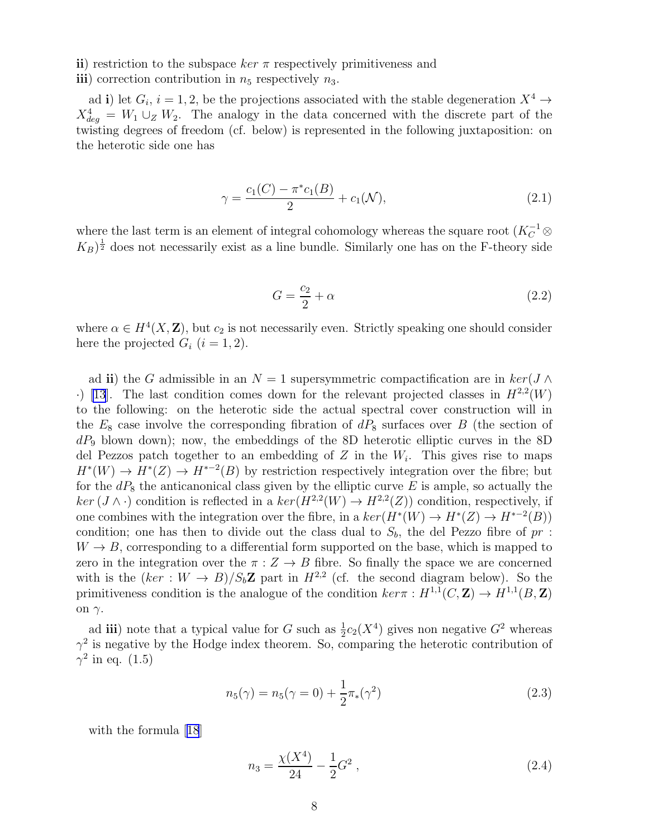ii) restriction to the subspace  $ker \pi$  respectively primitiveness and iii) correction contribution in  $n_5$  respectively  $n_3$ .

ad i) let  $G_i$ ,  $i = 1, 2$ , be the projections associated with the stable degeneration  $X^4 \rightarrow$  $X_{deg}^4 = W_1 \cup_Z W_2$ . The analogy in the data concerned with the discrete part of the twisting degrees of freedom (cf. below) is represented in the following juxtaposition: on the heterotic side one has

$$
\gamma = \frac{c_1(C) - \pi^* c_1(B)}{2} + c_1(\mathcal{N}),\tag{2.1}
$$

where the last term is an element of integral cohomology whereas the square root  $(K_C^{-1} \otimes$  $(K_B)^{\frac{1}{2}}$  does not necessarily exist as a line bundle. Similarly one has on the F-theory side

$$
G = \frac{c_2}{2} + \alpha \tag{2.2}
$$

where  $\alpha \in H^4(X, \mathbb{Z})$ , but  $c_2$  is not necessarily even. Strictly speaking one should consider here the projected  $G_i$   $(i = 1, 2)$ .

ad ii) the G admissible in an  $N = 1$  supersymmetric compactification are in  $\ker(J \wedge$  $\cdot$ ) [\[13](#page-26-0)]. The last condition comes down for the relevant projected classes in  $H^{2,2}(W)$ to the following: on the heterotic side the actual spectral cover construction will in the  $E_8$  case involve the corresponding fibration of  $dP_8$  surfaces over B (the section of  $dP_9$  blown down); now, the embeddings of the 8D heterotic elliptic curves in the 8D del Pezzos patch together to an embedding of  $Z$  in the  $W_i$ . This gives rise to maps  $H^*(W) \to H^*(Z) \to H^{*-2}(B)$  by restriction respectively integration over the fibre; but for the  $dP_8$  the anticanonical class given by the elliptic curve E is ample, so actually the  $ker (J \wedge \cdot)$  condition is reflected in a  $ker (H^{2,2}(W) \to H^{2,2}(Z))$  condition, respectively, if one combines with the integration over the fibre, in a  $ker(H^*(W) \to H^*(Z) \to H^{*-2}(B))$ condition; one has then to divide out the class dual to  $S_b$ , the del Pezzo fibre of  $pr$ :  $W \to B$ , corresponding to a differential form supported on the base, which is mapped to zero in the integration over the  $\pi: Z \to B$  fibre. So finally the space we are concerned with is the  $(ker : W \to B)/S_bZ$  part in  $H^{2,2}$  (cf. the second diagram below). So the primitiveness condition is the analogue of the condition  $ker \pi : H^{1,1}(C, \mathbb{Z}) \to H^{1,1}(B, \mathbb{Z})$ on  $γ$ .

ad iii) note that a typical value for G such as  $\frac{1}{2}c_2(X^4)$  gives non negative  $G^2$  whereas  $\gamma^2$  is negative by the Hodge index theorem. So, comparing the heterotic contribution of  $\gamma^2$  in eq. (1.5)

$$
n_5(\gamma) = n_5(\gamma = 0) + \frac{1}{2}\pi_*(\gamma^2)
$$
\n(2.3)

with the formula[[18](#page-26-0)]

$$
n_3 = \frac{\chi(X^4)}{24} - \frac{1}{2}G^2 \,,\tag{2.4}
$$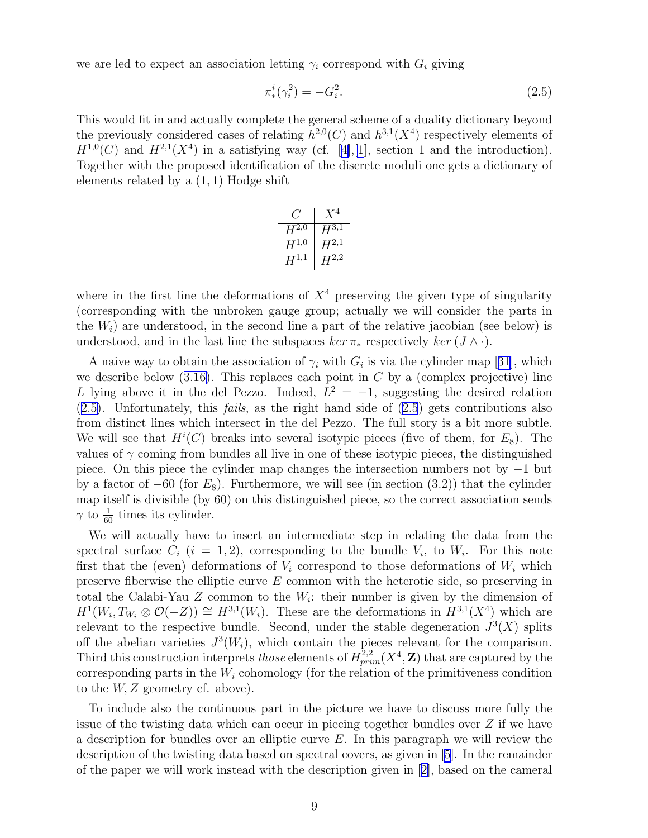we are led to expect an association letting  $\gamma_i$  correspond with  $G_i$  giving

$$
\pi^i_*(\gamma_i^2) = -G_i^2. \tag{2.5}
$$

This would fit in and actually complete the general scheme of a duality dictionary beyond the previously considered cases of relating  $h^{2,0}(C)$  and  $h^{3,1}(X^4)$  respectively elements of  $H^{1,0}(C)$ and  $H^{2,1}(X^4)$  in a satisfying way (cf. [[4\]](#page-26-0), [\[1](#page-25-0)], section 1 and the introduction). Together with the proposed identification of the discrete moduli one gets a dictionary of elements related by a  $(1, 1)$  Hodge shift

| $H^{2,0}$ | $H^{3,1}$ |
|-----------|-----------|
| $H^{1,0}$ | $H^{2,1}$ |
| $H^{1,1}$ | $H^{2,2}$ |

where in the first line the deformations of  $X<sup>4</sup>$  preserving the given type of singularity (corresponding with the unbroken gauge group; actually we will consider the parts in the  $W_i$ ) are understood, in the second line a part of the relative jacobian (see below) is understood, and in the last line the subspaces  $ker \pi_*$  respectively  $ker (J \wedge \cdot)$ .

Anaive way to obtain the association of  $\gamma_i$  with  $G_i$  is via the cylinder map [[31](#page-27-0)], which wedescribe below  $(3.16)$  $(3.16)$ . This replaces each point in C by a (complex projective) line L lying above it in the del Pezzo. Indeed,  $L^2 = -1$ , suggesting the desired relation  $(2.5)$ . Unfortunately, this *fails*, as the right hand side of  $(2.5)$  gets contributions also from distinct lines which intersect in the del Pezzo. The full story is a bit more subtle. We will see that  $H^i(C)$  breaks into several isotypic pieces (five of them, for  $E_8$ ). The values of  $\gamma$  coming from bundles all live in one of these isotypic pieces, the distinguished piece. On this piece the cylinder map changes the intersection numbers not by −1 but by a factor of  $-60$  (for  $E_8$ ). Furthermore, we will see (in section (3.2)) that the cylinder map itself is divisible (by 60) on this distinguished piece, so the correct association sends  $\gamma$  to  $\frac{1}{60}$  times its cylinder.

We will actually have to insert an intermediate step in relating the data from the spectral surface  $C_i$   $(i = 1, 2)$ , corresponding to the bundle  $V_i$ , to  $W_i$ . For this note first that the (even) deformations of  $V_i$  correspond to those deformations of  $W_i$  which preserve fiberwise the elliptic curve  $E$  common with the heterotic side, so preserving in total the Calabi-Yau  $Z$  common to the  $W_i$ : their number is given by the dimension of  $H^1(W_i, T_{W_i} \otimes \mathcal{O}(-Z)) \cong H^{3,1}(W_i)$ . These are the deformations in  $H^{3,1}(X^4)$  which are relevant to the respective bundle. Second, under the stable degeneration  $J^3(X)$  splits off the abelian varieties  $J^3(W_i)$ , which contain the pieces relevant for the comparison. Third this construction interprets *those* elements of  $H^{2,2}_{prim}(X^4, \mathbf{Z})$  that are captured by the corresponding parts in the  $W_i$  cohomology (for the relation of the primitiveness condition to the  $W, Z$  geometry cf. above).

To include also the continuous part in the picture we have to discuss more fully the issue of the twisting data which can occur in piecing together bundles over  $Z$  if we have a description for bundles over an elliptic curve  $E$ . In this paragraph we will review the description of the twisting data based on spectral covers, as given in [\[5](#page-26-0)]. In the remainder of the paper we will work instead with the description given in[[2\]](#page-25-0), based on the cameral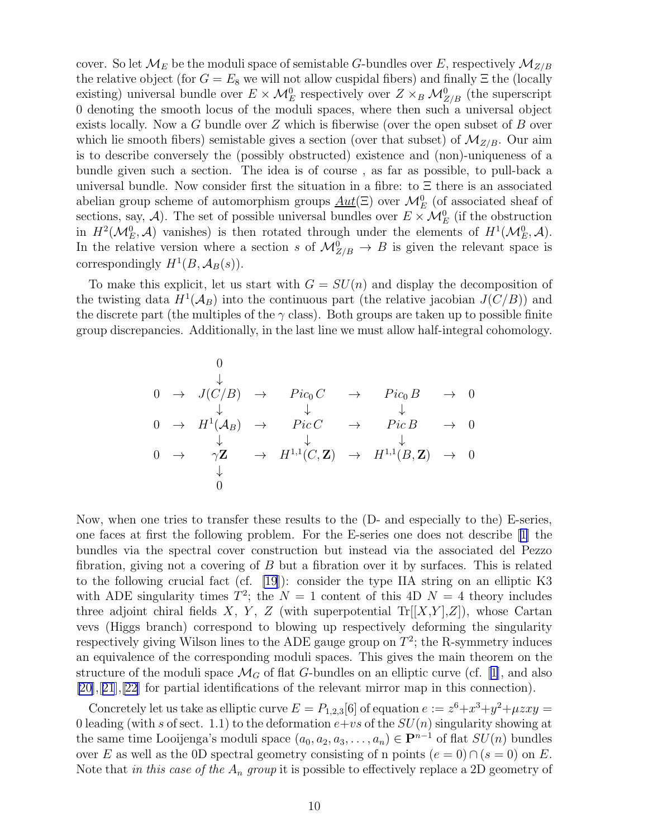cover. So let  $\mathcal{M}_E$  be the moduli space of semistable G-bundles over E, respectively  $\mathcal{M}_{Z/B}$ the relative object (for  $G = E_8$  we will not allow cuspidal fibers) and finally  $\Xi$  the (locally existing) universal bundle over  $E \times \mathcal{M}_E^0$  respectively over  $Z \times_B \mathcal{M}_{Z/B}^0$  (the superscript 0 denoting the smooth locus of the moduli spaces, where then such a universal object exists locally. Now a G bundle over  $Z$  which is fiberwise (over the open subset of  $B$  over which lie smooth fibers) semistable gives a section (over that subset) of  $\mathcal{M}_{Z/B}$ . Our aim is to describe conversely the (possibly obstructed) existence and (non)-uniqueness of a bundle given such a section. The idea is of course , as far as possible, to pull-back a universal bundle. Now consider first the situation in a fibre: to  $\Xi$  there is an associated abelian group scheme of automorphism groups  $\underline{Aut}(\Xi)$  over  $\mathcal{M}_E^0$  (of associated sheaf of sections, say, A). The set of possible universal bundles over  $E \times \mathcal{M}_{E}^{0}$  (if the obstruction in  $H^2(\mathcal{M}_E^0, \mathcal{A})$  vanishes) is then rotated through under the elements of  $H^1(\mathcal{M}_E^0, \mathcal{A})$ . In the relative version where a section s of  $\mathcal{M}_{Z/B}^0 \to B$  is given the relevant space is correspondingly  $H^1(B, \mathcal{A}_B(s))$ .

To make this explicit, let us start with  $G = SU(n)$  and display the decomposition of the twisting data  $H^1(\mathcal{A}_B)$  into the continuous part (the relative jacobian  $J(C/B)$ ) and the discrete part (the multiples of the  $\gamma$  class). Both groups are taken up to possible finite group discrepancies. Additionally, in the last line we must allow half-integral cohomology.

0 ↓ 0 → J(C/B) → P ic<sup>0</sup> C → P ic<sup>0</sup> B → 0 ↓ ↓ ↓ 0 → H<sup>1</sup> (AB) → P ic C → P ic B → 0 ↓ ↓ ↓ 0 → γZ → H<sup>1</sup>,<sup>1</sup> (C,Z) → H<sup>1</sup>,<sup>1</sup> (B,Z) → 0 ↓ 0

Now, when one tries to transfer these results to the (D- and especially to the) E-series, one faces at first the following problem. For the E-series one does not describe[[1\]](#page-25-0) the bundles via the spectral cover construction but instead via the associated del Pezzo fibration, giving not a covering of  $B$  but a fibration over it by surfaces. This is related to the following crucial fact (cf. [\[19](#page-26-0)]): consider the type IIA string on an elliptic K3 with ADE singularity times  $T^2$ ; the  $N = 1$  content of this 4D  $N = 4$  theory includes three adjoint chiral fields X, Y, Z (with superpotential  $Tr[[X,Y],Z]$ ), whose Cartan vevs (Higgs branch) correspond to blowing up respectively deforming the singularity respectively giving Wilson lines to the ADE gauge group on  $T^2$ ; the R-symmetry induces an equivalence of the corresponding moduli spaces. This gives the main theorem on the structure of the moduli space  $\mathcal{M}_G$  of flat G-bundles on an elliptic curve (cf. [\[1\]](#page-25-0), and also [\[20\]](#page-26-0),[[21](#page-26-0)],[\[22\]](#page-27-0) for partial identifications of the relevant mirror map in this connection).

Concretely let us take as elliptic curve  $E = P_{1,2,3}[6]$  of equation  $e := z^6 + x^3 + y^2 + \mu zxy =$ 0 leading (with s of sect. 1.1) to the deformation  $e+vs$  of the  $SU(n)$  singularity showing at the same time Looijenga's moduli space  $(a_0, a_2, a_3, \ldots, a_n) \in \mathbf{P}^{n-1}$  of flat  $SU(n)$  bundles over E as well as the 0D spectral geometry consisting of n points  $(e = 0) \cap (s = 0)$  on E. Note that in this case of the  $A_n$  group it is possible to effectively replace a 2D geometry of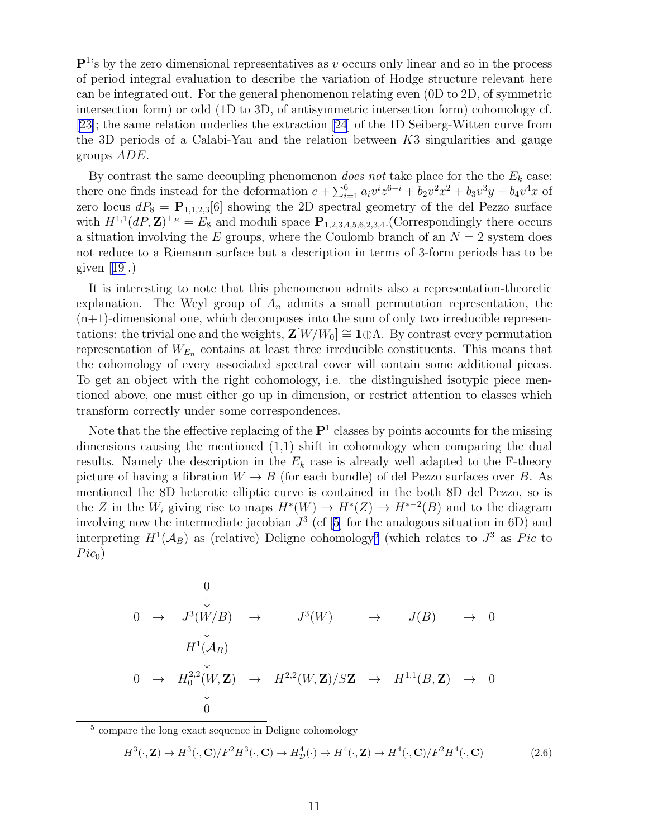$\mathbb{P}^1$ 's by the zero dimensional representatives as v occurs only linear and so in the process of period integral evaluation to describe the variation of Hodge structure relevant here can be integrated out. For the general phenomenon relating even (0D to 2D, of symmetric intersection form) or odd (1D to 3D, of antisymmetric intersection form) cohomology cf. [\[23\]](#page-27-0); the same relation underlies the extraction [\[24](#page-27-0)] of the 1D Seiberg-Witten curve from the 3D periods of a Calabi-Yau and the relation between  $K3$  singularities and gauge groups ADE.

By contrast the same decoupling phenomenon *does not* take place for the the  $E_k$  case: there one finds instead for the deformation  $e + \sum_{i=1}^{6} a_i v^i z^{6-i} + b_2 v^2 x^2 + b_3 v^3 y + b_4 v^4 x$  of zero locus  $dP_8 = P_{1,1,2,3}[6]$  showing the 2D spectral geometry of the del Pezzo surface with  $H^{1,1}(dP,\mathbf{Z})^{\perp_E} = E_8$  and moduli space  $\mathbf{P}_{1,2,3,4,5,6,2,3,4}$ . (Correspondingly there occurs a situation involving the E groups, where the Coulomb branch of an  $N = 2$  system does not reduce to a Riemann surface but a description in terms of 3-form periods has to be given[[19\]](#page-26-0).)

It is interesting to note that this phenomenon admits also a representation-theoretic explanation. The Weyl group of  $A_n$  admits a small permutation representation, the  $(n+1)$ -dimensional one, which decomposes into the sum of only two irreducible representations: the trivial one and the weights,  $\mathbf{Z}[W/W_0] \cong \mathbf{1} \oplus \Lambda$ . By contrast every permutation representation of  $W_{E_n}$  contains at least three irreducible constituents. This means that the cohomology of every associated spectral cover will contain some additional pieces. To get an object with the right cohomology, i.e. the distinguished isotypic piece mentioned above, one must either go up in dimension, or restrict attention to classes which transform correctly under some correspondences.

Note that the the effective replacing of the  $\mathbf{P}^1$  classes by points accounts for the missing dimensions causing the mentioned (1,1) shift in cohomology when comparing the dual results. Namely the description in the  $E_k$  case is already well adapted to the F-theory picture of having a fibration  $W \to B$  (for each bundle) of del Pezzo surfaces over B. As mentioned the 8D heterotic elliptic curve is contained in the both 8D del Pezzo, so is the Z in the  $W_i$  giving rise to maps  $H^*(W) \to H^*(Z) \to H^{*-2}(B)$  and to the diagram involving now the intermediate jacobian  $J^3$  (cf [\[5\]](#page-26-0) for the analogous situation in 6D) and interpreting  $H^1(\mathcal{A}_B)$  as (relative) Deligne cohomology<sup>5</sup> (which relates to  $J^3$  as Pic to  $Pic_0$ 

0 ↓ 0 → J 3 (W/B) → J 3 (W) → J(B) → 0 ↓ H<sup>1</sup> (AB) ↓ 0 → H 2,2 0 (W,Z) → H<sup>2</sup>,<sup>2</sup> (W,Z)/SZ → H<sup>1</sup>,<sup>1</sup> (B,Z) → 0 ↓ 0

<sup>5</sup> compare the long exact sequence in Deligne cohomology

$$
H^3(\cdot, \mathbf{Z}) \to H^3(\cdot, \mathbf{C})/F^2H^3(\cdot, \mathbf{C}) \to H^4_D(\cdot) \to H^4(\cdot, \mathbf{Z}) \to H^4(\cdot, \mathbf{C})/F^2H^4(\cdot, \mathbf{C})
$$
\n(2.6)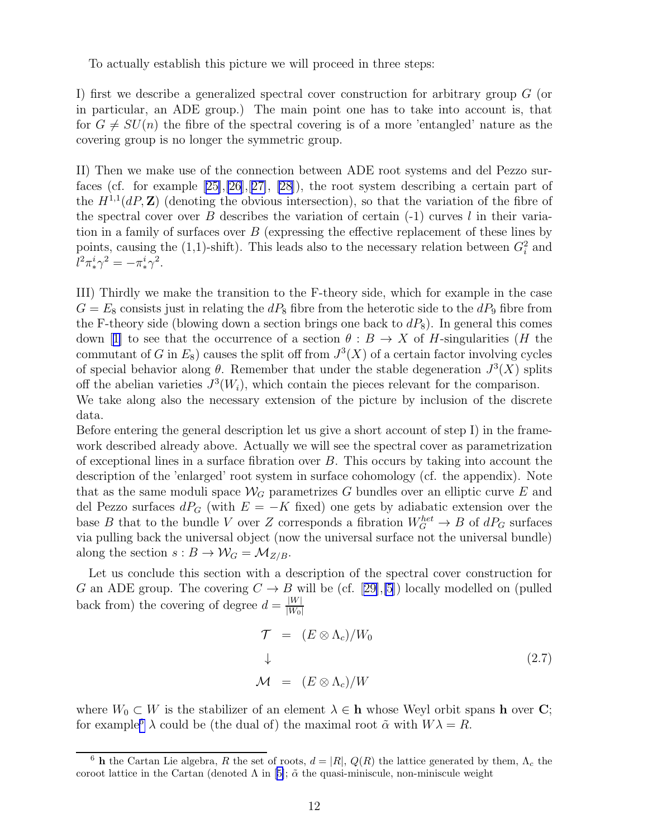To actually establish this picture we will proceed in three steps:

I) first we describe a generalized spectral cover construction for arbitrary group G (or in particular, an ADE group.) The main point one has to take into account is, that for  $G \neq SU(n)$  the fibre of the spectral covering is of a more 'entangled' nature as the covering group is no longer the symmetric group.

II) Then we make use of the connection between ADE root systems and del Pezzo surfaces (cf. for example[[25\]](#page-27-0),[\[26](#page-27-0)],[[27\]](#page-27-0), [\[28](#page-27-0)]), the root system describing a certain part of the  $H^{1,1}(dP,\mathbf{Z})$  (denoting the obvious intersection), so that the variation of the fibre of the spectral cover over  $B$  describes the variation of certain  $(-1)$  curves l in their variation in a family of surfaces over  $B$  (expressing the effective replacement of these lines by points, causing the (1,1)-shift). This leads also to the necessary relation between  $G_i^2$  and  $l^2 \pi^i_* \gamma^2 = -\pi^i_* \gamma^2.$ 

III) Thirdly we make the transition to the F-theory side, which for example in the case  $G = E_8$  consists just in relating the  $dP_8$  fibre from the heterotic side to the  $dP_9$  fibre from the F-theory side (blowing down a section brings one back to  $dP_8$ ). In general this comes down[[1\]](#page-25-0) to see that the occurrence of a section  $\theta : B \to X$  of H-singularities (H the commutant of G in  $E_8$ ) causes the split off from  $J^3(X)$  of a certain factor involving cycles of special behavior along  $\theta$ . Remember that under the stable degeneration  $J^3(X)$  splits off the abelian varieties  $J^3(W_i)$ , which contain the pieces relevant for the comparison. We take along also the necessary extension of the picture by inclusion of the discrete data.

Before entering the general description let us give a short account of step I) in the framework described already above. Actually we will see the spectral cover as parametrization of exceptional lines in a surface fibration over B. This occurs by taking into account the description of the 'enlarged' root system in surface cohomology (cf. the appendix). Note that as the same moduli space  $\mathcal{W}_G$  parametrizes G bundles over an elliptic curve E and del Pezzo surfaces  $dP_G$  (with  $E = -K$  fixed) one gets by adiabatic extension over the base B that to the bundle V over Z corresponds a fibration  $W_G^{het} \to B$  of  $dP_G$  surfaces via pulling back the universal object (now the universal surface not the universal bundle) along the section  $s : B \to \mathcal{W}_G = \mathcal{M}_{Z/B}$ .

Let us conclude this section with a description of the spectral cover construction for Gan ADE group. The covering  $C \to B$  will be (cf. [[29\]](#page-27-0), [\[5](#page-26-0)]) locally modelled on (pulled back from) the covering of degree  $d = \frac{|W|}{|W_0|}$  $|W_0|$ 

$$
\begin{aligned}\n\mathcal{T} &= (E \otimes \Lambda_c)/W_0 \\
\downarrow \\
\mathcal{M} &= (E \otimes \Lambda_c)/W\n\end{aligned} \tag{2.7}
$$

where  $W_0 \subset W$  is the stabilizer of an element  $\lambda \in \mathbf{h}$  whose Weyl orbit spans h over C; for example<sup>6</sup>  $\lambda$  could be (the dual of) the maximal root  $\tilde{\alpha}$  with  $W\lambda = R$ .

<sup>&</sup>lt;sup>6</sup> h the Cartan Lie algebra, R the set of roots,  $d = |R|$ ,  $Q(R)$  the lattice generated by them,  $\Lambda_c$  the corootlattice in the Cartan (denoted  $\Lambda$  in [[5\]](#page-26-0);  $\tilde{\alpha}$  the quasi-miniscule, non-miniscule weight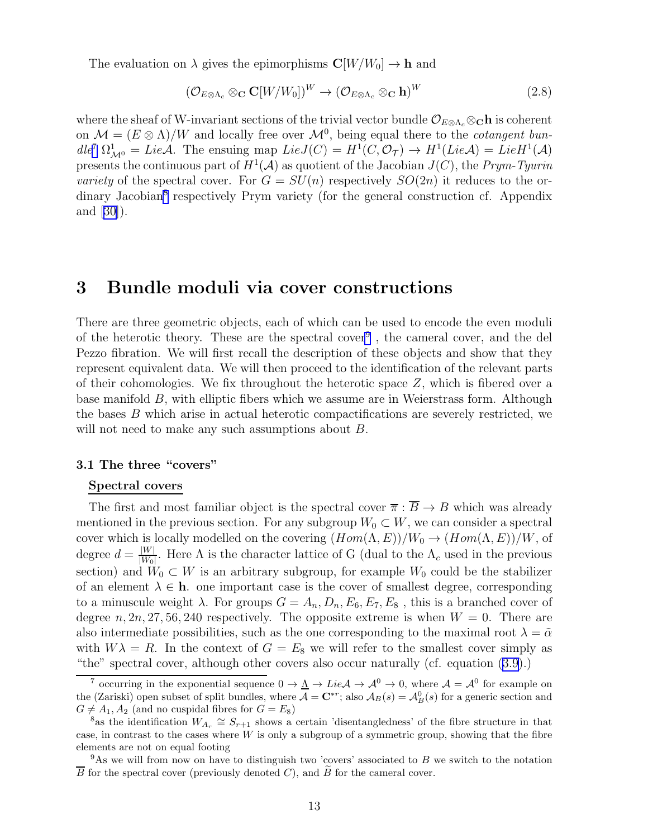The evaluation on  $\lambda$  gives the epimorphisms  $\mathbb{C}[W/W_0] \to \mathbb{h}$  and

$$
(\mathcal{O}_{E\otimes\Lambda_c}\otimes_{\mathbf{C}}\mathbf{C}[W/W_0])^W \to (\mathcal{O}_{E\otimes\Lambda_c}\otimes_{\mathbf{C}}\mathbf{h})^W
$$
 (2.8)

where the sheaf of W-invariant sections of the trivial vector bundle  $\mathcal{O}_{E\otimes\Lambda_c}\otimes_{\mathbf{C}}\mathbf{h}$  is coherent on  $\mathcal{M} = (E \otimes \Lambda)/W$  and locally free over  $\mathcal{M}^0$ , being equal there to the *cotangent bun* $d l e^7 \Omega^1_{\mathcal{M}^0} = Lie \mathcal{A}$ . The ensuing map  $Lie J(C) = H^1(C, \mathcal{O}_\mathcal{T}) \to H^1(Lie \mathcal{A}) = Lie H^1(\mathcal{A})$ presents the continuous part of  $H^1(\mathcal{A})$  as quotient of the Jacobian  $J(C)$ , the Prym-Tyurin variety of the spectral cover. For  $G = SU(n)$  respectively  $SO(2n)$  it reduces to the ordinary Jacobian<sup>8</sup> respectively Prym variety (for the general construction cf. Appendix and [\[30\]](#page-27-0)).

## 3 Bundle moduli via cover constructions

There are three geometric objects, each of which can be used to encode the even moduli of the heterotic theory. These are the spectral cover<sup>9</sup>, the cameral cover, and the del Pezzo fibration. We will first recall the description of these objects and show that they represent equivalent data. We will then proceed to the identification of the relevant parts of their cohomologies. We fix throughout the heterotic space  $Z$ , which is fibered over a base manifold B, with elliptic fibers which we assume are in Weierstrass form. Although the bases B which arise in actual heterotic compactifications are severely restricted, we will not need to make any such assumptions about B.

### 3.1 The three "covers"

### Spectral covers

The first and most familiar object is the spectral cover  $\overline{\pi}$  :  $\overline{B} \to B$  which was already mentioned in the previous section. For any subgroup  $W_0 \subset W$ , we can consider a spectral cover which is locally modelled on the covering  $(Hom(\Lambda, E))/W_0 \to (Hom(\Lambda, E))/W$ , of degree  $d = \frac{|W|}{|W_0|}$  $\frac{|W|}{|W_0|}$ . Here  $\Lambda$  is the character lattice of G (dual to the  $\Lambda_c$  used in the previous section) and  $W_0 \subset W$  is an arbitrary subgroup, for example  $W_0$  could be the stabilizer of an element  $\lambda \in \mathbf{h}$ . one important case is the cover of smallest degree, corresponding to a minuscule weight  $\lambda$ . For groups  $G = A_n, D_n, E_6, E_7, E_8$ , this is a branched cover of degree n, 2n, 27, 56, 240 respectively. The opposite extreme is when  $W = 0$ . There are also intermediate possibilities, such as the one corresponding to the maximal root  $\lambda = \tilde{\alpha}$ with  $W\lambda = R$ . In the context of  $G = E_8$  we will refer to the smallest cover simply as "the" spectral cover, although other covers also occur naturally (cf. equation [\(3.9](#page-14-0)).)

<sup>&</sup>lt;sup>7</sup> occurring in the exponential sequence  $0 \to \underline{\Lambda} \to Lie\mathcal{A} \to \mathcal{A}^0 \to 0$ , where  $\mathcal{A} = \mathcal{A}^0$  for example on the (Zariski) open subset of split bundles, where  $\overline{A} = \mathbf{C}^{*r}$ ; also  $A_B(s) = A_B^0(s)$  for a generic section and  $G \neq A_1, A_2$  (and no cuspidal fibres for  $G = E_8$ )

<sup>&</sup>lt;sup>8</sup>as the identification  $W_{A_r} \cong S_{r+1}$  shows a certain 'disentangledness' of the fibre structure in that case, in contrast to the cases where  $W$  is only a subgroup of a symmetric group, showing that the fibre elements are not on equal footing

<sup>&</sup>lt;sup>9</sup>As we will from now on have to distinguish two 'covers' associated to B we switch to the notation  $\overline{B}$  for the spectral cover (previously denoted C), and B for the cameral cover.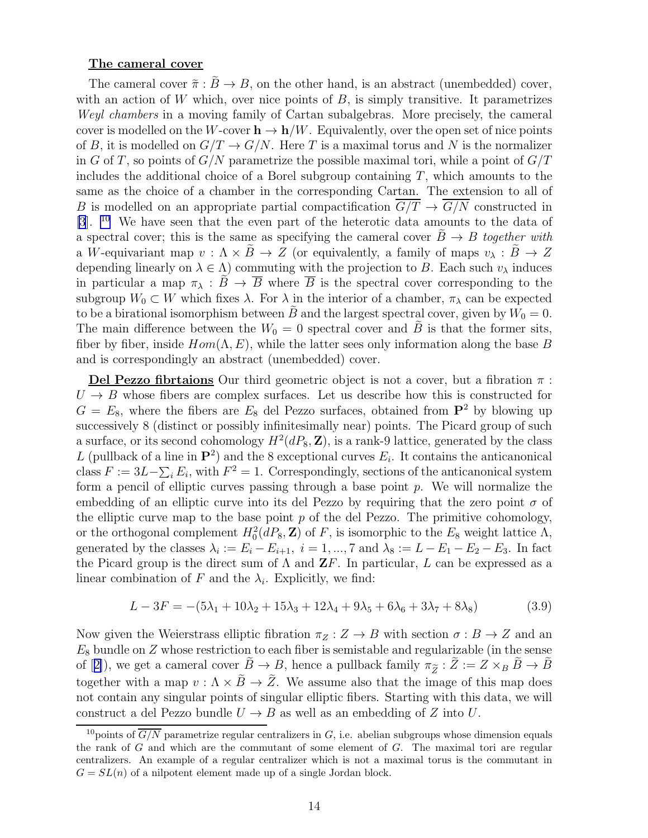#### <span id="page-14-0"></span>The cameral cover

The cameral cover  $\tilde{\pi}: B \to B$ , on the other hand, is an abstract (unembedded) cover, with an action of W which, over nice points of  $B$ , is simply transitive. It parametrizes Weyl chambers in a moving family of Cartan subalgebras. More precisely, the cameral cover is modelled on the W-cover  $h \to h/W$ . Equivalently, over the open set of nice points of B, it is modelled on  $G/T \to G/N$ . Here T is a maximal torus and N is the normalizer in G of T, so points of  $G/N$  parametrize the possible maximal tori, while a point of  $G/T$ includes the additional choice of a Borel subgroup containing  $T$ , which amounts to the same as the choice of a chamber in the corresponding Cartan. The extension to all of B is modelled on an appropriate partial compactification  $\overline{G/T} \to \overline{G/N}$  constructed in [\[3](#page-25-0)]. <sup>10</sup> We have seen that the even part of the heterotic data amounts to the data of a spectral cover; this is the same as specifying the cameral cover  $\ddot{B} \rightarrow B$  together with a W-equivariant map  $v : \Lambda \times \tilde{B} \to Z$  (or equivalently, a family of maps  $v_{\lambda} : \tilde{B} \to Z$ depending linearly on  $\lambda \in \Lambda$ ) commuting with the projection to B. Each such  $v_{\lambda}$  induces in particular a map  $\pi_{\lambda}: \overline{B} \to \overline{B}$  where  $\overline{B}$  is the spectral cover corresponding to the subgroup  $W_0 \subset W$  which fixes  $\lambda$ . For  $\lambda$  in the interior of a chamber,  $\pi_\lambda$  can be expected to be a birational isomorphism between B and the largest spectral cover, given by  $W_0 = 0$ . The main difference between the  $W_0 = 0$  spectral cover and  $\tilde{B}$  is that the former sits, fiber by fiber, inside  $Hom(\Lambda, E)$ , while the latter sees only information along the base B and is correspondingly an abstract (unembedded) cover.

Del Pezzo fibrtaions Our third geometric object is not a cover, but a fibration  $\pi$ :  $U \rightarrow B$  whose fibers are complex surfaces. Let us describe how this is constructed for  $G = E_8$ , where the fibers are  $E_8$  del Pezzo surfaces, obtained from  $\mathbf{P}^2$  by blowing up successively 8 (distinct or possibly infinitesimally near) points. The Picard group of such a surface, or its second cohomology  $H^2(dP_8, \mathbf{Z})$ , is a rank-9 lattice, generated by the class L (pullback of a line in  $\mathbf{P}^2$ ) and the 8 exceptional curves  $E_i$ . It contains the anticanonical class  $F := 3L - \sum_i E_i$ , with  $F^2 = 1$ . Correspondingly, sections of the anticanonical system form a pencil of elliptic curves passing through a base point  $p$ . We will normalize the embedding of an elliptic curve into its del Pezzo by requiring that the zero point  $\sigma$  of the elliptic curve map to the base point  $p$  of the del Pezzo. The primitive cohomology, or the orthogonal complement  $H_0^2(dP_8, \mathbf{Z})$  of F, is isomorphic to the  $E_8$  weight lattice  $\Lambda$ , generated by the classes  $\lambda_i := E_i - E_{i+1}, i = 1, ..., 7$  and  $\lambda_8 := L - E_1 - E_2 - E_3$ . In fact the Picard group is the direct sum of  $\Lambda$  and  $\mathbf{Z}F$ . In particular, L can be expressed as a linear combination of F and the  $\lambda_i$ . Explicitly, we find:

$$
L - 3F = -(5\lambda_1 + 10\lambda_2 + 15\lambda_3 + 12\lambda_4 + 9\lambda_5 + 6\lambda_6 + 3\lambda_7 + 8\lambda_8)
$$
 (3.9)

Now given the Weierstrass elliptic fibration  $\pi_Z : Z \to B$  with section  $\sigma : B \to Z$  and an  $E_8$  bundle on  $Z$  whose restriction to each fiber is semistable and regularizable (in the sense of[[2\]](#page-25-0)), we get a cameral cover  $B \to B$ , hence a pullback family  $\pi_{\widetilde{Z}} : Z := Z \times_B B \to B$ together with a map  $v : \Lambda \times \tilde{B} \to \tilde{Z}$ . We assume also that the image of this map does not contain any singular points of singular elliptic fibers. Starting with this data, we will construct a del Pezzo bundle  $U \rightarrow B$  as well as an embedding of Z into U.

<sup>&</sup>lt;sup>10</sup>points of  $\overline{G/N}$  parametrize regular centralizers in G, i.e. abelian subgroups whose dimension equals the rank of  $G$  and which are the commutant of some element of  $G$ . The maximal tori are regular centralizers. An example of a regular centralizer which is not a maximal torus is the commutant in  $G = SL(n)$  of a nilpotent element made up of a single Jordan block.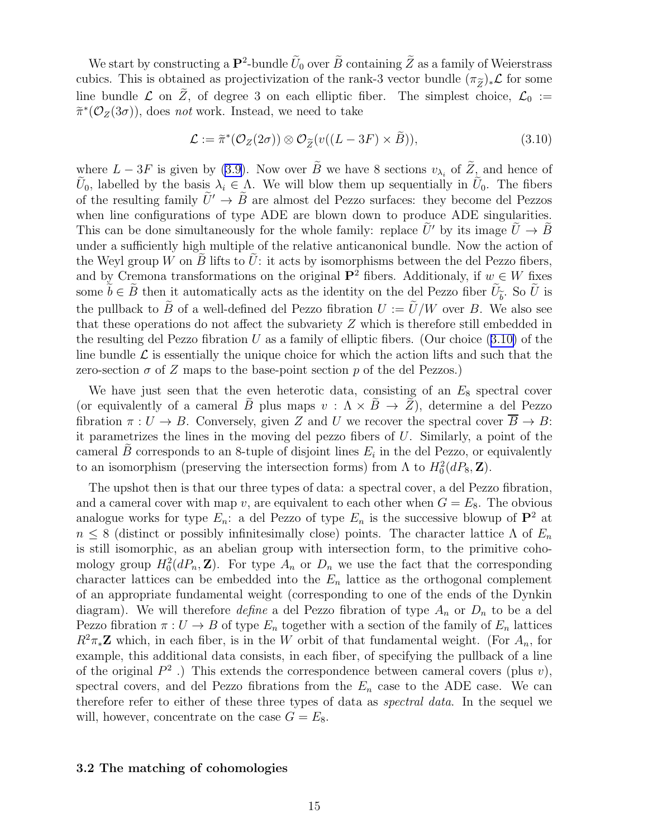We start by constructing a  $\mathbf{P}^2$ -bundle  $U_0$  over  $B$  containing  $Z$  as a family of Weierstrass cubics. This is obtained as projectivization of the rank-3 vector bundle  $(\pi_{\widetilde{Z}})_*\mathcal{L}$  for some line bundle  $\mathcal L$  on  $\widetilde Z$ , of degree 3 on each elliptic fiber. The simplest choice,  $\mathcal L_0 :=$  $\widetilde{\pi}^*(\mathcal{O}_Z(3\sigma))$ , does *not* work. Instead, we need to take

$$
\mathcal{L} := \tilde{\pi}^*(\mathcal{O}_Z(2\sigma)) \otimes \mathcal{O}_{\tilde{Z}}(v((L - 3F) \times \tilde{B})), \tag{3.10}
$$

where $L - 3F$  is given by ([3.9\)](#page-14-0). Now over B we have 8 sections  $v_{\lambda_i}$  of  $Z_i$  and hence of U<sub>0</sub>, labelled by the basis  $\lambda_i \in \Lambda$ . We will blow them up sequentially in U<sub>0</sub>. The fibers of the resulting family  $U' \rightarrow B$  are almost del Pezzo surfaces: they become del Pezzos when line configurations of type ADE are blown down to produce ADE singularities. This can be done simultaneously for the whole family: replace  $\tilde{U}'$  by its image  $\tilde{U} \to \tilde{B}$ under a sufficiently high multiple of the relative anticanonical bundle. Now the action of the Weyl group W on B lifts to U: it acts by isomorphisms between the del Pezzo fibers, and by Cremona transformations on the original  $\mathbf{P}^2$  fibers. Additionaly, if  $w \in W$  fixes some  $b \in B$  then it automatically acts as the identity on the del Pezzo fiber  $U_{\tilde{b}}$ . So U is the pullback to  $\tilde{B}$  of a well-defined del Pezzo fibration  $U := \tilde{U}/W$  over B. We also see that these operations do not affect the subvariety  $Z$  which is therefore still embedded in the resulting del Pezzo fibration U as a family of elliptic fibers. (Our choice  $(3.10)$ ) of the line bundle  $\mathcal L$  is essentially the unique choice for which the action lifts and such that the zero-section  $\sigma$  of Z maps to the base-point section p of the del Pezzos.)

We have just seen that the even heterotic data, consisting of an  $E_8$  spectral cover (or equivalently of a cameral  $\tilde{B}$  plus maps  $v : \Lambda \times \tilde{B} \to \tilde{Z}$ ), determine a del Pezzo fibration  $\pi: U \to B$ . Conversely, given Z and U we recover the spectral cover  $\overline{B} \to B$ : it parametrizes the lines in the moving del pezzo fibers of  $U$ . Similarly, a point of the cameral B corresponds to an 8-tuple of disjoint lines  $E_i$  in the del Pezzo, or equivalently to an isomorphism (preserving the intersection forms) from  $\Lambda$  to  $H_0^2(dP_8, \mathbf{Z})$ .

The upshot then is that our three types of data: a spectral cover, a del Pezzo fibration, and a cameral cover with map v, are equivalent to each other when  $G = E_8$ . The obvious analogue works for type  $E_n$ : a del Pezzo of type  $E_n$  is the successive blowup of  $\mathbf{P}^2$  at  $n \leq 8$  (distinct or possibly infinitesimally close) points. The character lattice  $\Lambda$  of  $E_n$ is still isomorphic, as an abelian group with intersection form, to the primitive cohomology group  $H_0^2(dP_n, \mathbf{Z})$ . For type  $A_n$  or  $D_n$  we use the fact that the corresponding character lattices can be embedded into the  $E_n$  lattice as the orthogonal complement of an appropriate fundamental weight (corresponding to one of the ends of the Dynkin diagram). We will therefore *define* a del Pezzo fibration of type  $A_n$  or  $D_n$  to be a del Pezzo fibration  $\pi: U \to B$  of type  $E_n$  together with a section of the family of  $E_n$  lattices  $R^2\pi_*\mathbf{Z}$  which, in each fiber, is in the W orbit of that fundamental weight. (For  $A_n$ , for example, this additional data consists, in each fiber, of specifying the pullback of a line of the original  $P^2$ .) This extends the correspondence between cameral covers (plus  $v$ ), spectral covers, and del Pezzo fibrations from the  $E_n$  case to the ADE case. We can therefore refer to either of these three types of data as spectral data. In the sequel we will, however, concentrate on the case  $G = E_8$ .

#### 3.2 The matching of cohomologies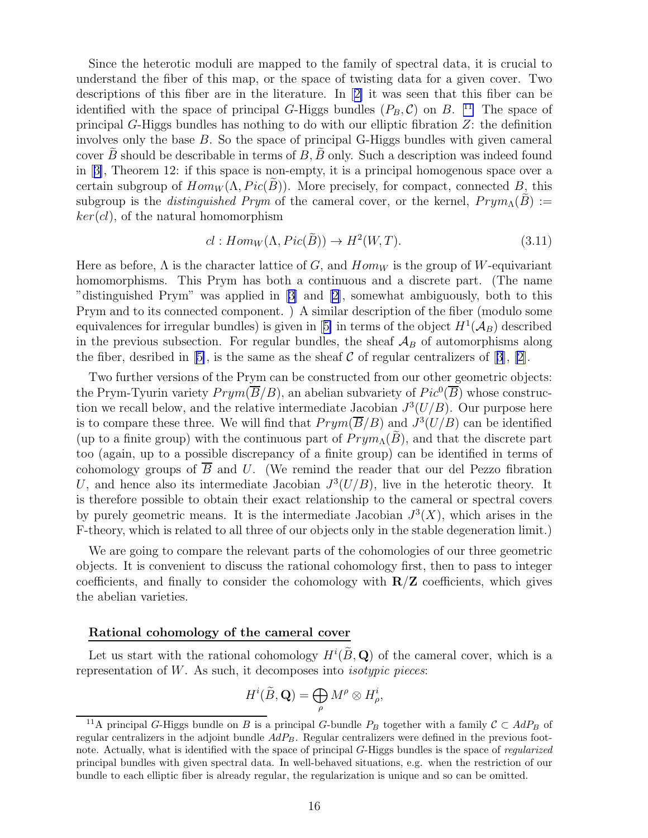<span id="page-16-0"></span>Since the heterotic moduli are mapped to the family of spectral data, it is crucial to understand the fiber of this map, or the space of twisting data for a given cover. Two descriptions of this fiber are in the literature. In[[2\]](#page-25-0) it was seen that this fiber can be identified with the space of principal G-Higgs bundles  $(P_B, C)$  on B. <sup>11</sup> The space of principal G-Higgs bundles has nothing to do with our elliptic fibration Z: the definition involves only the base B. So the space of principal G-Higgs bundles with given cameral cover  $B$  should be describable in terms of  $B$ ,  $B$  only. Such a description was indeed found in[[3\]](#page-25-0), Theorem 12: if this space is non-empty, it is a principal homogenous space over a certain subgroup of  $Hom_W(\Lambda, Pic(B))$ . More precisely, for compact, connected B, this subgroup is the *distinguished Prym* of the cameral cover, or the kernel,  $Prym_{\Lambda}(\tilde{B}) :=$  $ker(cl)$ , of the natural homomorphism

$$
cl: Hom_W(\Lambda, Pic(\widetilde{B})) \to H^2(W, T). \tag{3.11}
$$

Here as before,  $\Lambda$  is the character lattice of G, and  $Hom_W$  is the group of W-equivariant homomorphisms. This Prym has both a continuous and a discrete part. (The name "distinguished Prym" was applied in[[3\]](#page-25-0) and [\[2](#page-25-0)], somewhat ambiguously, both to this Prym and to its connected component. ) A similar description of the fiber (modulo some equivalencesfor irregular bundles) is given in [[5\]](#page-26-0) in terms of the object  $H^1({\cal A}_B)$  described in the previous subsection. For regular bundles, the sheaf  $A_B$  of automorphisms along thefiber, desribed in [[5\]](#page-26-0), is the same as the sheaf C of regular centralizers of [[3](#page-25-0)], [\[2\]](#page-25-0).

Two further versions of the Prym can be constructed from our other geometric objects: the Prym-Tyurin variety  $Prym(\overline{B}/B)$ , an abelian subvariety of  $Pic^0(\overline{B})$  whose construction we recall below, and the relative intermediate Jacobian  $J^3(U/B)$ . Our purpose here is to compare these three. We will find that  $Prym(\overline{B}/B)$  and  $J^3(U/B)$  can be identified (up to a finite group) with the continuous part of  $Prym_A(\overline{B})$ , and that the discrete part too (again, up to a possible discrepancy of a finite group) can be identified in terms of cohomology groups of  $\overline{B}$  and U. (We remind the reader that our del Pezzo fibration U, and hence also its intermediate Jacobian  $J^3(U/B)$ , live in the heterotic theory. It is therefore possible to obtain their exact relationship to the cameral or spectral covers by purely geometric means. It is the intermediate Jacobian  $J^3(X)$ , which arises in the F-theory, which is related to all three of our objects only in the stable degeneration limit.)

We are going to compare the relevant parts of the cohomologies of our three geometric objects. It is convenient to discuss the rational cohomology first, then to pass to integer coefficients, and finally to consider the cohomology with  $\mathbb{R}/\mathbb{Z}$  coefficients, which gives the abelian varieties.

#### Rational cohomology of the cameral cover

Let us start with the rational cohomology  $H^i(\tilde{B}, \mathbf{Q})$  of the cameral cover, which is a representation of  $W$ . As such, it decomposes into *isotypic pieces*:

$$
H^i(\widetilde{B},\mathbf{Q})=\bigoplus_{\rho}M^{\rho}\otimes H_{\rho}^i,
$$

<sup>&</sup>lt;sup>11</sup>A principal G-Higgs bundle on B is a principal G-bundle  $P_B$  together with a family  $C \subset AdP_B$  of regular centralizers in the adjoint bundle  $AdP_B$ . Regular centralizers were defined in the previous footnote. Actually, what is identified with the space of principal G-Higgs bundles is the space of regularized principal bundles with given spectral data. In well-behaved situations, e.g. when the restriction of our bundle to each elliptic fiber is already regular, the regularization is unique and so can be omitted.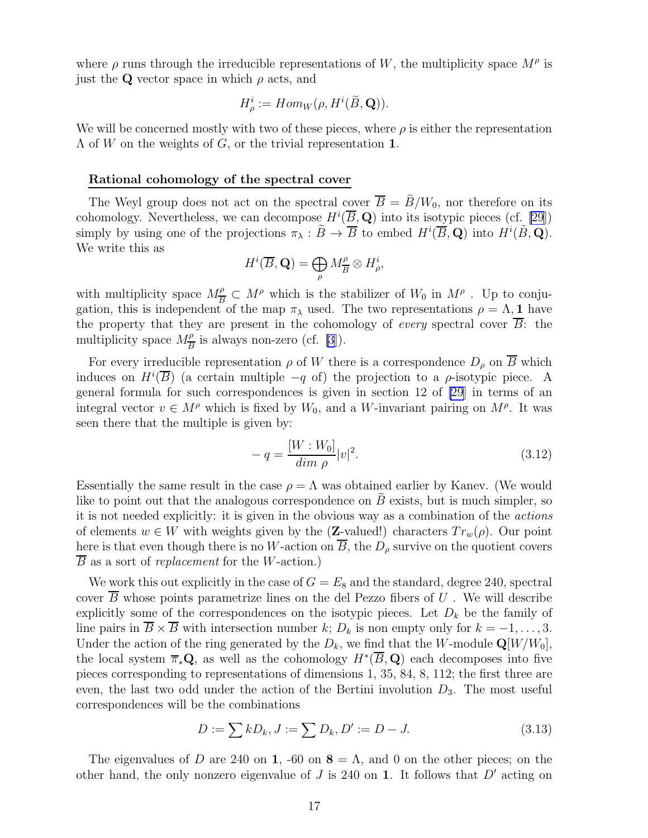<span id="page-17-0"></span>where  $\rho$  runs through the irreducible representations of W, the multiplicity space  $M^{\rho}$  is just the Q vector space in which  $\rho$  acts, and

$$
H_{\rho}^{i} := Hom_{W}(\rho, H^{i}(\widetilde{B}, \mathbf{Q})).
$$

We will be concerned mostly with two of these pieces, where  $\rho$  is either the representation  $\Lambda$  of W on the weights of G, or the trivial representation 1.

#### Rational cohomology of the spectral cover

The Weyl group does not act on the spectral cover  $B = B/W_0$ , nor therefore on its cohomology. Nevertheless, we can decompose  $H^i(\overline{B}, \mathbf{Q})$  into its isotypic pieces (cf. [\[29](#page-27-0)]) simply by using one of the projections  $\pi_{\lambda} : \widetilde{B} \to \overline{B}$  to embed  $H^i(\overline{B}, \mathbf{Q})$  into  $H^i(\widetilde{B}, \mathbf{Q})$ . We write this as

$$
H^i(\overline{B}, \mathbf{Q}) = \bigoplus_{\rho} M_{\overline{B}}^{\rho} \otimes H_{\rho}^i,
$$

with multiplicity space  $M_{\overline{R}}^{\rho}$  $\frac{\rho}{B} \subset M^{\rho}$  which is the stabilizer of  $W_0$  in  $M^{\rho}$ . Up to conjugation, this is independent of the map  $\pi_{\lambda}$  used. The two representations  $\rho = \Lambda$ , 1 have the property that they are present in the cohomology of *every* spectral cover  $\overline{B}$ : the multiplicity space  $M_{\overline{B}}^{\rho}$  is always non-zero (cf. [\[3](#page-25-0)]).

For every irreducible representation  $\rho$  of W there is a correspondence  $D_{\rho}$  on  $\overline{B}$  which induces on  $H^i(\overline{B})$  (a certain multiple  $-q$  of) the projection to a  $\rho$ -isotypic piece. A general formula for such correspondences is given in section 12 of [\[29](#page-27-0)] in terms of an integral vector  $v \in M^{\rho}$  which is fixed by  $W_0$ , and a W-invariant pairing on  $M^{\rho}$ . It was seen there that the multiple is given by:

$$
-q = \frac{[W:W_0]}{\dim \rho}|v|^2.
$$
\n(3.12)

Essentially the same result in the case  $\rho = \Lambda$  was obtained earlier by Kanev. (We would like to point out that the analogous correspondence on  $B$  exists, but is much simpler, so it is not needed explicitly: it is given in the obvious way as a combination of the actions of elements  $w \in W$  with weights given by the (Z-valued!) characters  $Tr_w(\rho)$ . Our point here is that even though there is no W-action on  $\overline{B}$ , the  $D_{\rho}$  survive on the quotient covers B as a sort of replacement for the W-action.)

We work this out explicitly in the case of  $G = E_8$  and the standard, degree 240, spectral cover  $B$  whose points parametrize lines on the del Pezzo fibers of  $U$ . We will describe explicitly some of the correspondences on the isotypic pieces. Let  $D_k$  be the family of line pairs in  $\overline{B} \times \overline{B}$  with intersection number k;  $D_k$  is non empty only for  $k = -1, \ldots, 3$ . Under the action of the ring generated by the  $D_k$ , we find that the W-module  $\mathbf{Q}[W/W_0]$ , the local system  $\overline{\pi}_*{\bf Q}$ , as well as the cohomology  $H^*(\overline{B},{\bf Q})$  each decomposes into five pieces corresponding to representations of dimensions 1, 35, 84, 8, 112; the first three are even, the last two odd under the action of the Bertini involution  $D_3$ . The most useful correspondences will be the combinations

$$
D := \sum k D_k, J := \sum D_k, D' := D - J.
$$
\n(3.13)

The eigenvalues of D are 240 on 1, -60 on  $\mathbf{8} = \Lambda$ , and 0 on the other pieces; on the other hand, the only nonzero eigenvalue of  $J$  is 240 on 1. It follows that  $D'$  acting on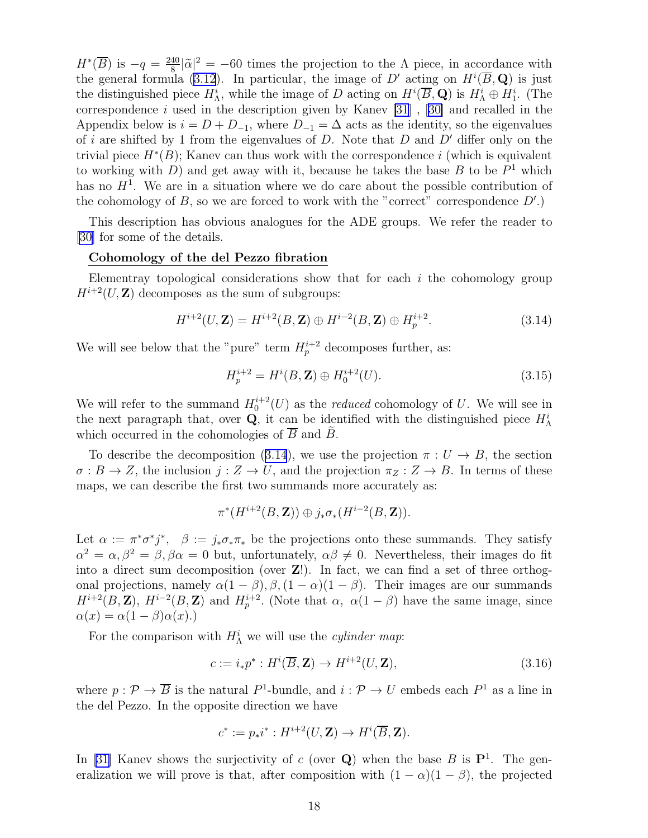<span id="page-18-0"></span> $H^*(\overline{B})$  is  $-q = \frac{240}{8}$  $\frac{40}{8}|\tilde{\alpha}|^2 = -60$  times the projection to the  $\Lambda$  piece, in accordance with the general formula [\(3.12](#page-17-0)). In particular, the image of D' acting on  $H^i(\overline{B}, \mathbf{Q})$  is just the distinguished piece  $H_{\Lambda}^i$ , while the image of D acting on  $H^i(\overline{B}, \mathbf{Q})$  is  $H_{\Lambda}^i \oplus H_1^i$ . (The correspondencei used in the description given by Kanev  $[31]$ ,  $[30]$  $[30]$  and recalled in the Appendix below is  $i = D + D_{-1}$ , where  $D_{-1} = \Delta$  acts as the identity, so the eigenvalues of i are shifted by 1 from the eigenvalues of  $D$ . Note that  $D$  and  $D'$  differ only on the trivial piece  $H^*(B)$ ; Kanev can thus work with the correspondence i (which is equivalent to working with  $D$ ) and get away with it, because he takes the base  $B$  to be  $P<sup>1</sup>$  which has no  $H<sup>1</sup>$ . We are in a situation where we do care about the possible contribution of the cohomology of  $B$ , so we are forced to work with the "correct" correspondence  $D'$ .)

This description has obvious analogues for the ADE groups. We refer the reader to [\[30](#page-27-0)] for some of the details.

#### Cohomology of the del Pezzo fibration

Elementray topological considerations show that for each  $i$  the cohomology group  $H^{i+2}(U,\mathbf{Z})$  decomposes as the sum of subgroups:

$$
H^{i+2}(U, \mathbf{Z}) = H^{i+2}(B, \mathbf{Z}) \oplus H^{i-2}(B, \mathbf{Z}) \oplus H^{i+2}_p.
$$
 (3.14)

We will see below that the "pure" term  $H_p^{i+2}$  decomposes further, as:

$$
H_p^{i+2} = H^i(B, \mathbf{Z}) \oplus H_0^{i+2}(U). \tag{3.15}
$$

We will refer to the summand  $H_0^{i+2}(U)$  as the *reduced* cohomology of U. We will see in the next paragraph that, over **Q**, it can be identified with the distinguished piece  $H_{\Lambda}^{i}$ which occurred in the cohomologies of  $\overline{B}$  and  $\widetilde{B}$ .

To describe the decomposition (3.14), we use the projection  $\pi : U \to B$ , the section  $\sigma: B \to Z$ , the inclusion  $j: Z \to U$ , and the projection  $\pi_Z: Z \to B$ . In terms of these maps, we can describe the first two summands more accurately as:

$$
\pi^*(H^{i+2}(B,\mathbf{Z}))\oplus j_*\sigma_*(H^{i-2}(B,\mathbf{Z})).
$$

Let  $\alpha := \pi^* \sigma^* j^*$ ,  $\beta := j_* \sigma_* \pi_*$  be the projections onto these summands. They satisfy  $\alpha^2 = \alpha, \beta^2 = \beta, \beta\alpha = 0$  but, unfortunately,  $\alpha\beta \neq 0$ . Nevertheless, their images do fit into a direct sum decomposition (over Z!). In fact, we can find a set of three orthogonal projections, namely  $\alpha(1-\beta), \beta, (1-\alpha)(1-\beta)$ . Their images are our summands  $H^{i+2}(B, \mathbf{Z})$ ,  $H^{i-2}(B, \mathbf{Z})$  and  $H^{i+2}_{p}$ . (Note that  $\alpha$ ,  $\alpha(1-\beta)$  have the same image, since  $\alpha(x) = \alpha(1-\beta)\alpha(x).$ 

For the comparison with  $H^i_\Lambda$  we will use the *cylinder map*:

$$
c := i_*p^* : H^i(\overline{B}, \mathbf{Z}) \to H^{i+2}(U, \mathbf{Z}), \tag{3.16}
$$

where  $p: \mathcal{P} \to \overline{B}$  is the natural  $P^1$ -bundle, and  $i: \mathcal{P} \to U$  embeds each  $P^1$  as a line in the del Pezzo. In the opposite direction we have

$$
c^* := p_*i^* : H^{i+2}(U, \mathbf{Z}) \to H^i(\overline{B}, \mathbf{Z}).
$$

In[[31\]](#page-27-0) Kanev shows the surjectivity of c (over  $Q$ ) when the base B is  $P<sup>1</sup>$ . The generalization we will prove is that, after composition with  $(1 - \alpha)(1 - \beta)$ , the projected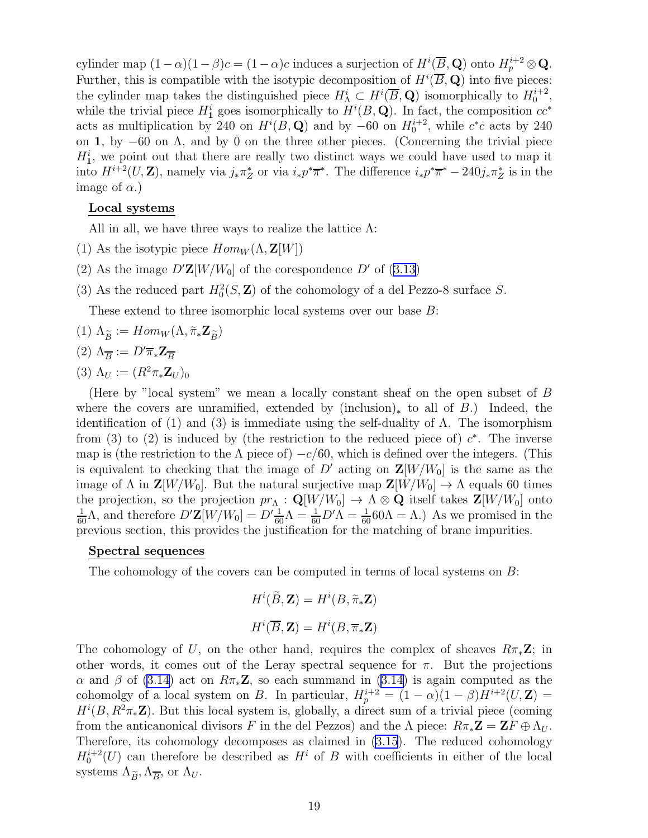cylinder map  $(1-\alpha)(1-\beta)c = (1-\alpha)c$  induces a surjection of  $H^i(\overline{B}, \mathbf{Q})$  onto  $H^{i+2}_p \otimes \mathbf{Q}$ . Further, this is compatible with the isotypic decomposition of  $H^i(\overline{B}, \mathbf{Q})$  into five pieces: the cylinder map takes the distinguished piece  $H^i_\Lambda \subset H^i(\overline{B}, \mathbf{Q})$  isomorphically to  $H^{i+2}_0$ , while the trivial piece  $H_1^i$  goes isomorphically to  $H^i(B, \mathbf{Q})$ . In fact, the composition  $cc^*$ acts as multiplication by 240 on  $H^i(B, \mathbf{Q})$  and by -60 on  $H_0^{i+2}$ , while  $c^*c$  acts by 240 on 1, by −60 on Λ, and by 0 on the three other pieces. (Concerning the trivial piece  $H_1^i$ , we point out that there are really two distinct ways we could have used to map it into  $H^{i+2}(U,\mathbf{Z})$ , namely via  $j_*\pi_Z^*$  or via  $i_*p^*\overline{\pi}^*$ . The difference  $i_*p^*\overline{\pi}^* - 240j_*\pi_Z^*$  is in the image of  $\alpha$ .)

### Local systems

All in all, we have three ways to realize the lattice  $\Lambda$ :

- (1) As the isotypic piece  $Hom_W(\Lambda, \mathbf{Z}[W])$
- (2)As the image  $D'Z[W/W_0]$  of the corespondence D' of ([3.13\)](#page-17-0)
- (3) As the reduced part  $H_0^2(S, \mathbf{Z})$  of the cohomology of a del Pezzo-8 surface S.

These extend to three isomorphic local systems over our base B:

$$
(1) \Lambda_{\widetilde{B}} := Hom_W(\Lambda, \widetilde{\pi}_* \mathbf{Z}_{\widetilde{B}})
$$

$$
(2)~\Lambda_{\overline{B}}:=D'\overline{\pi}_{*}\mathbf{Z}_{\overline{B}}
$$

(3)  $\Lambda_U := (R^2 \pi_* \mathbf{Z}_U)_0$ 

(Here by "local system" we mean a locally constant sheaf on the open subset of B where the covers are unramified, extended by  $(inclusion)_*$  to all of B.) Indeed, the identification of (1) and (3) is immediate using the self-duality of  $\Lambda$ . The isomorphism from (3) to (2) is induced by (the restriction to the reduced piece of)  $c^*$ . The inverse map is (the restriction to the  $\Lambda$  piece of)  $-c/60$ , which is defined over the integers. (This is equivalent to checking that the image of  $D'$  acting on  $\mathbf{Z}[W/W_0]$  is the same as the image of  $\Lambda$  in  $\mathbf{Z}[W/W_0]$ . But the natural surjective map  $\mathbf{Z}[W/W_0] \to \Lambda$  equals 60 times the projection, so the projection  $pr_{\Lambda}: \mathbf{Q}[W/W_0] \to \Lambda \otimes \mathbf{Q}$  itself takes  $\mathbf{Z}[W/W_0]$  onto  $\frac{1}{60}$ Λ, and therefore  $D'Z[W/W_0] = D'\frac{1}{60}$  $Λ = \frac{1}{60}D'Λ = \frac{1}{60}60$  $Λ = Λ$ .) As we promised in the previous section, this provides the justification for the matching of brane impurities.

### Spectral sequences

The cohomology of the covers can be computed in terms of local systems on B:

$$
H^{i}(\tilde{B}, \mathbf{Z}) = H^{i}(B, \tilde{\pi}_{*} \mathbf{Z})
$$

$$
H^{i}(\overline{B}, \mathbf{Z}) = H^{i}(B, \overline{\pi}_{*} \mathbf{Z})
$$

The cohomology of U, on the other hand, requires the complex of sheaves  $R\pi_*\mathbf{Z}$ ; in other words, it comes out of the Leray spectral sequence for  $\pi$ . But the projections α and β of [\(3.14](#page-18-0)) act on  $R\pi_*\mathbf{Z}$ , so each summand in (3.14) is again computed as the cohomolgy of a local system on B. In particular,  $H_p^{i+2} = (1 - \alpha)(1 - \beta)H^{i+2}(U, \mathbf{Z}) =$  $H^{i}(B, R^{2}\pi_{*}\mathbb{Z})$ . But this local system is, globally, a direct sum of a trivial piece (coming from the anticanonical divisors F in the del Pezzos) and the  $\Lambda$  piece:  $R\pi_*\mathbf{Z} = \mathbf{Z}F \oplus \Lambda_U$ . Therefore, its cohomology decomposes as claimed in [\(3.15](#page-18-0)). The reduced cohomology  $H_0^{i+2}(U)$  can therefore be described as  $H^i$  of B with coefficients in either of the local systems  $\Lambda_{\widetilde{B}}, \Lambda_{\overline{B}},$  or  $\Lambda_U$ .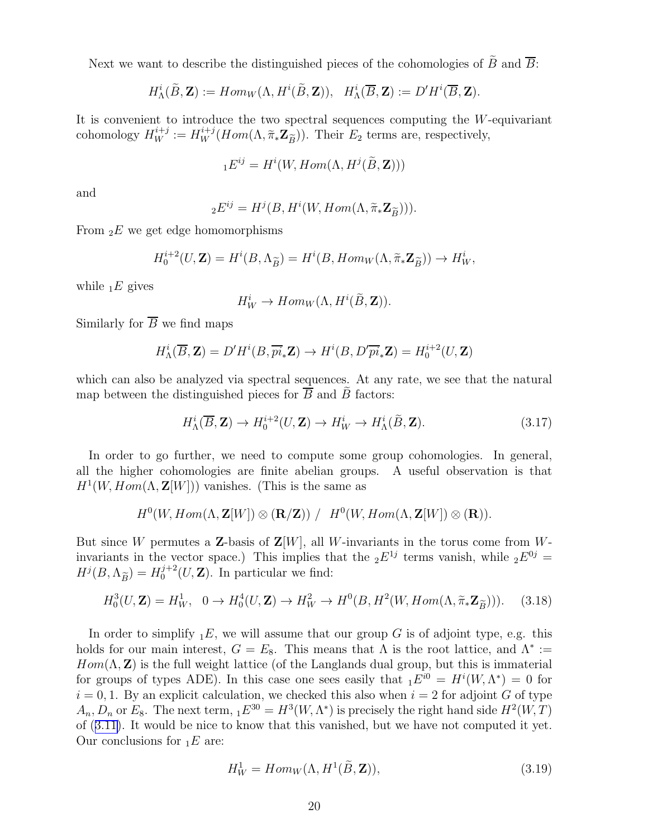<span id="page-20-0"></span>Next we want to describe the distinguished pieces of the cohomologies of  $\widetilde{B}$  and  $\overline{B}$ :

$$
H^i_{\Lambda}(\widetilde{B}, \mathbf{Z}) := Hom_W(\Lambda, H^i(\widetilde{B}, \mathbf{Z})), \quad H^i_{\Lambda}(\overline{B}, \mathbf{Z}) := D'H^i(\overline{B}, \mathbf{Z}).
$$

It is convenient to introduce the two spectral sequences computing the  $W$ -equivariant cohomology  $H_W^{i+j} := H_W^{i+j}(Hom(\Lambda, \tilde{\pi}_* \mathbf{Z}_{\widetilde{B}})).$  Their  $E_2$  terms are, respectively,

$$
{}_{1}E^{ij}=H^{i}(W,Hom(\Lambda,H^{j}(\widetilde{B},\mathbf{Z})))
$$

and

$$
{}_{2}E^{ij} = H^{j}(B, H^{i}(W, Hom(\Lambda, \widetilde{\pi}_{*} \mathbf{Z}_{\widetilde{B}}))).
$$

From  $E$  we get edge homomorphisms

$$
H_0^{i+2}(U, \mathbf{Z}) = H^i(B, \Lambda_{\widetilde{B}}) = H^i(B, Hom_W(\Lambda, \widetilde{\pi}_* \mathbf{Z}_{\widetilde{B}})) \to H^i_W,
$$

while  $E$  gives

$$
H_W^i \to Hom_W(\Lambda, H^i(\widetilde{B}, \mathbf{Z})).
$$

Similarly for  $\overline{B}$  we find maps

$$
H_{\Lambda}^{i}(\overline{B}, \mathbf{Z}) = D'H^{i}(B, \overline{pi}_{*}\mathbf{Z}) \to H^{i}(B, D'\overline{pi}_{*}\mathbf{Z}) = H_{0}^{i+2}(U, \mathbf{Z})
$$

which can also be analyzed via spectral sequences. At any rate, we see that the natural map between the distinguished pieces for  $B$  and  $B$  factors:

$$
H_{\Lambda}^{i}(\overline{B}, \mathbf{Z}) \to H_{0}^{i+2}(U, \mathbf{Z}) \to H_{W}^{i} \to H_{\Lambda}^{i}(\widetilde{B}, \mathbf{Z}).
$$
\n(3.17)

In order to go further, we need to compute some group cohomologies. In general, all the higher cohomologies are finite abelian groups. A useful observation is that  $H^1(W, Hom(\Lambda, \mathbf{Z}[W]))$  vanishes. (This is the same as

$$
H^0(W, Hom(\Lambda, \mathbf{Z}[W]) \otimes (\mathbf{R}/\mathbf{Z})) / H^0(W, Hom(\Lambda, \mathbf{Z}[W]) \otimes (\mathbf{R})).
$$

But since W permutes a **Z**-basis of  $\mathbf{Z}[W]$ , all W-invariants in the torus come from Winvariants in the vector space.) This implies that the  $_2E^{1j}$  terms vanish, while  $_2E^{0j}$  =  $H^j(B,\Lambda_{\widetilde{B}})=H^{j+2}_0$  $0^{j+2}(U, \mathbf{Z})$ . In particular we find:

$$
H_0^3(U, \mathbf{Z}) = H_W^1, \quad 0 \to H_0^4(U, \mathbf{Z}) \to H_W^2 \to H^0(B, H^2(W, Hom(\Lambda, \tilde{\pi}_* \mathbf{Z}_{\tilde{B}}))). \tag{3.18}
$$

In order to simplify  $E$ , we will assume that our group G is of adjoint type, e.g. this holds for our main interest,  $G = E_8$ . This means that  $\Lambda$  is the root lattice, and  $\Lambda^* :=$  $Hom(\Lambda, \mathbb{Z})$  is the full weight lattice (of the Langlands dual group, but this is immaterial for groups of types ADE). In this case one sees easily that  $_1E^{i0} = H^{i}(W, \Lambda^*) = 0$  for  $i = 0, 1$ . By an explicit calculation, we checked this also when  $i = 2$  for adjoint G of type  $A_n, D_n$  or  $E_8$ . The next term,  $_1E^{30} = H^3(W, \Lambda^*)$  is precisely the right hand side  $H^2(W, T)$ of([3.11\)](#page-16-0). It would be nice to know that this vanished, but we have not computed it yet. Our conclusions for  $E_1E$  are:

$$
H_W^1 = Hom_W(\Lambda, H^1(\tilde{B}, \mathbf{Z})),\tag{3.19}
$$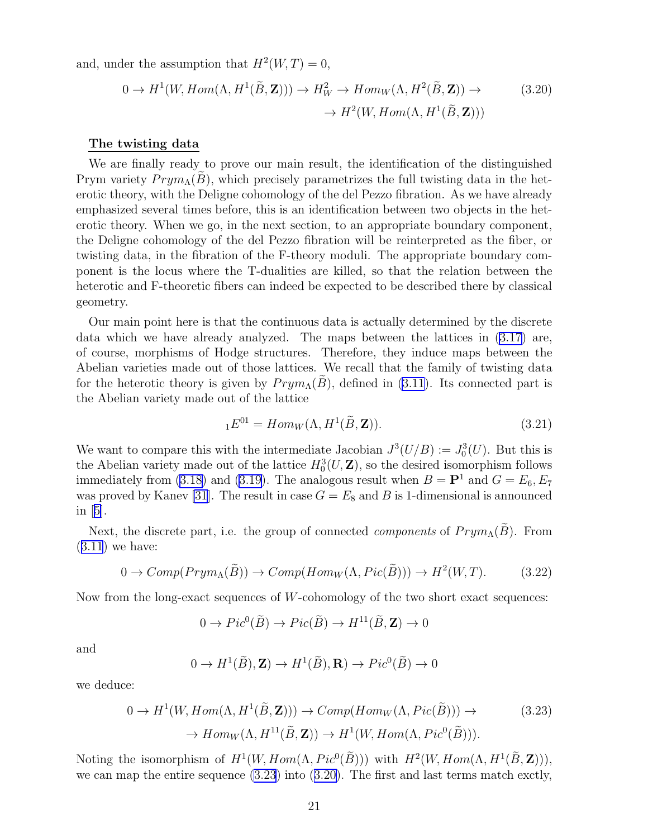<span id="page-21-0"></span>and, under the assumption that  $H^2(W,T) = 0$ ,

$$
0 \to H^1(W, Hom(\Lambda, H^1(\tilde{B}, \mathbf{Z}))) \to H^2_W \to Hom_W(\Lambda, H^2(\tilde{B}, \mathbf{Z})) \to \to H^2(W, Hom(\Lambda, H^1(\tilde{B}, \mathbf{Z})))
$$
\n(3.20)

#### The twisting data

We are finally ready to prove our main result, the identification of the distinguished Prym variety  $Prym<sub>\Lambda</sub>(B)$ , which precisely parametrizes the full twisting data in the heterotic theory, with the Deligne cohomology of the del Pezzo fibration. As we have already emphasized several times before, this is an identification between two objects in the heterotic theory. When we go, in the next section, to an appropriate boundary component, the Deligne cohomology of the del Pezzo fibration will be reinterpreted as the fiber, or twisting data, in the fibration of the F-theory moduli. The appropriate boundary component is the locus where the T-dualities are killed, so that the relation between the heterotic and F-theoretic fibers can indeed be expected to be described there by classical geometry.

Our main point here is that the continuous data is actually determined by the discrete data which we have already analyzed. The maps between the lattices in [\(3.17](#page-20-0)) are, of course, morphisms of Hodge structures. Therefore, they induce maps between the Abelian varieties made out of those lattices. We recall that the family of twisting data for the heterotic theory is given by  $Prym<sub>\Lambda</sub>(B)$ , defined in [\(3.11](#page-16-0)). Its connected part is the Abelian variety made out of the lattice

$$
{}_{1}E^{01} = Hom_{W}(\Lambda, H^{1}(\tilde{B}, \mathbf{Z})).
$$
\n(3.21)

We want to compare this with the intermediate Jacobian  $J^3(U/B) := J_0^3(U)$ . But this is the Abelian variety made out of the lattice  $H_0^3(U, \mathbf{Z})$ , so the desired isomorphism follows immediately from [\(3.18](#page-20-0)) and [\(3.19](#page-20-0)). The analogous result when  $B = \mathbf{P}^1$  and  $G = E_6, E_7$ was proved by Kanev [\[31](#page-27-0)]. The result in case  $G = E_8$  and B is 1-dimensional is announced in[[5\]](#page-26-0).

Next, the discrete part, i.e. the group of connected *components* of  $Prym_{\Lambda}(\tilde{B})$ . From  $(3.11)$  $(3.11)$  $(3.11)$  we have:

$$
0 \to Comp(Prym_{\Lambda}(\widetilde{B})) \to Comp(Hom_W(\Lambda, Pic(\widetilde{B}))) \to H^2(W, T). \tag{3.22}
$$

Now from the long-exact sequences of  $W$ -cohomology of the two short exact sequences:

$$
0 \to Pic^0(\widetilde{B}) \to Pic(\widetilde{B}) \to H^{11}(\widetilde{B}, \mathbf{Z}) \to 0
$$

and

$$
0 \to H^1(\widetilde{B}), \mathbf{Z}) \to H^1(\widetilde{B}), \mathbf{R}) \to Pic^0(\widetilde{B}) \to 0
$$

we deduce:

$$
0 \to H^1(W, Hom(\Lambda, H^1(\tilde{B}, \mathbf{Z}))) \to Comp(Hom_W(\Lambda, Pic(\tilde{B}))) \to
$$
  

$$
\to Hom_W(\Lambda, H^{11}(\tilde{B}, \mathbf{Z})) \to H^1(W, Hom(\Lambda, Pic^0(\tilde{B}))).
$$
(3.23)

Noting the isomorphism of  $H^1(W, Hom(\Lambda, Pic^0(\tilde{B})))$  with  $H^2(W, Hom(\Lambda, H^1(\tilde{B}, \mathbf{Z}))),$ we can map the entire sequence (3.23) into (3.20). The first and last terms match exctly,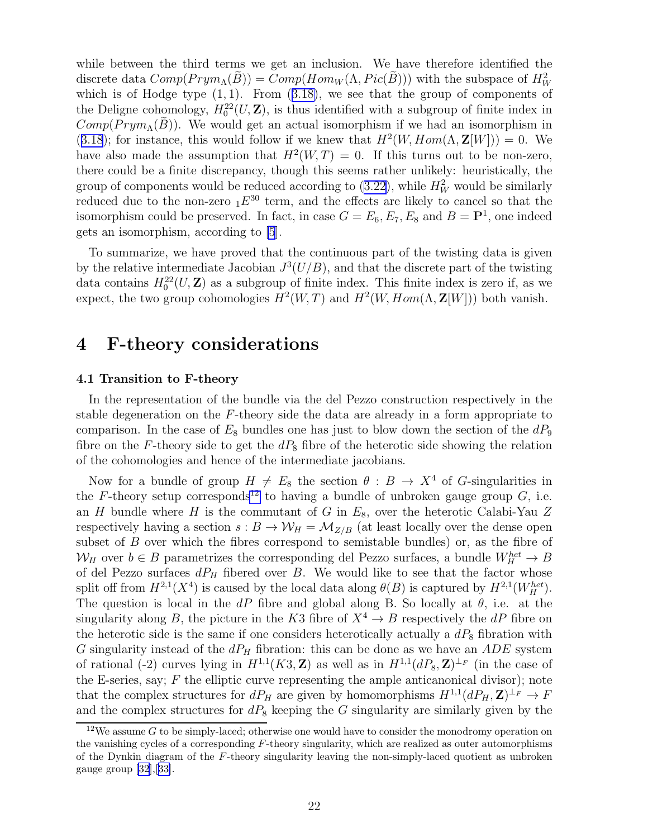while between the third terms we get an inclusion. We have therefore identified the discrete data  $Comp(Prym_{\Lambda}(\tilde{B})) = Comp(Hom_W(\Lambda, Pic(\tilde{B})))$  with the subspace of  $H_W^2$ whichis of Hodge type  $(1, 1)$ . From  $(3.18)$  $(3.18)$ , we see that the group of components of the Deligne cohomology,  $H_0^{22}(U,\mathbf{Z})$ , is thus identified with a subgroup of finite index in  $Comp(Prym<sub>\Lambda</sub>(B))$ . We would get an actual isomorphism if we had an isomorphism in ([3.18](#page-20-0)); for instance, this would follow if we knew that  $H^2(W, Hom(\Lambda, \mathbf{Z}[W])) = 0$ . We have also made the assumption that  $H^2(W,T) = 0$ . If this turns out to be non-zero, there could be a finite discrepancy, though this seems rather unlikely: heuristically, the group of components would be reduced according to  $(3.22)$ , while  $H_W^2$  would be similarly reduced due to the non-zero  $_1E^{30}$  term, and the effects are likely to cancel so that the isomorphism could be preserved. In fact, in case  $G = E_6, E_7, E_8$  and  $B = P<sup>1</sup>$ , one indeed gets an isomorphism, according to [\[5](#page-26-0)].

To summarize, we have proved that the continuous part of the twisting data is given by the relative intermediate Jacobian  $J^3(U/B)$ , and that the discrete part of the twisting data contains  $H_0^{22}(U,\mathbf{Z})$  as a subgroup of finite index. This finite index is zero if, as we expect, the two group cohomologies  $H^2(W,T)$  and  $H^2(W, Hom(\Lambda, \mathbf{Z}[W]))$  both vanish.

# 4 F-theory considerations

#### 4.1 Transition to F-theory

In the representation of the bundle via the del Pezzo construction respectively in the stable degeneration on the F-theory side the data are already in a form appropriate to comparison. In the case of  $E_8$  bundles one has just to blow down the section of the  $dP_9$ fibre on the F-theory side to get the  $dP_8$  fibre of the heterotic side showing the relation of the cohomologies and hence of the intermediate jacobians.

Now for a bundle of group  $H \neq E_8$  the section  $\theta : B \to X^4$  of G-singularities in the F-theory setup corresponds<sup>12</sup> to having a bundle of unbroken gauge group  $G$ , i.e. an H bundle where H is the commutant of G in  $E_8$ , over the heterotic Calabi-Yau Z respectively having a section  $s : B \to W_H = M_{Z/B}$  (at least locally over the dense open subset of B over which the fibres correspond to semistable bundles) or, as the fibre of  $W_H$  over  $b \in B$  parametrizes the corresponding del Pezzo surfaces, a bundle  $W_H^{het} \to B$ of del Pezzo surfaces  $dP_H$  fibered over B. We would like to see that the factor whose split off from  $H^{2,1}(X^4)$  is caused by the local data along  $\theta(B)$  is captured by  $H^{2,1}(W_H^{het})$ . The question is local in the dP fibre and global along B. So locally at  $\theta$ , i.e. at the singularity along B, the picture in the K3 fibre of  $X^4 \to B$  respectively the dP fibre on the heterotic side is the same if one considers heterotically actually a  $dP_8$  fibration with G singularity instead of the  $dP_H$  fibration: this can be done as we have an  $ADE$  system of rational (-2) curves lying in  $H^{1,1}(K3, \mathbb{Z})$  as well as in  $H^{1,1}(dP_8, \mathbb{Z})^{\perp_F}$  (in the case of the E-series, say;  $F$  the elliptic curve representing the ample anticanonical divisor); note that the complex structures for  $dP_H$  are given by homomorphisms  $H^{1,1}(dP_H, \mathbf{Z})^{\perp_F} \to F$ and the complex structures for  $dP_8$  keeping the G singularity are similarly given by the

<sup>&</sup>lt;sup>12</sup>We assume G to be simply-laced; otherwise one would have to consider the monodromy operation on the vanishing cycles of a corresponding F-theory singularity, which are realized as outer automorphisms of the Dynkin diagram of the F-theory singularity leaving the non-simply-laced quotient as unbroken gauge group  $[32], [33].$  $[32], [33].$  $[32], [33].$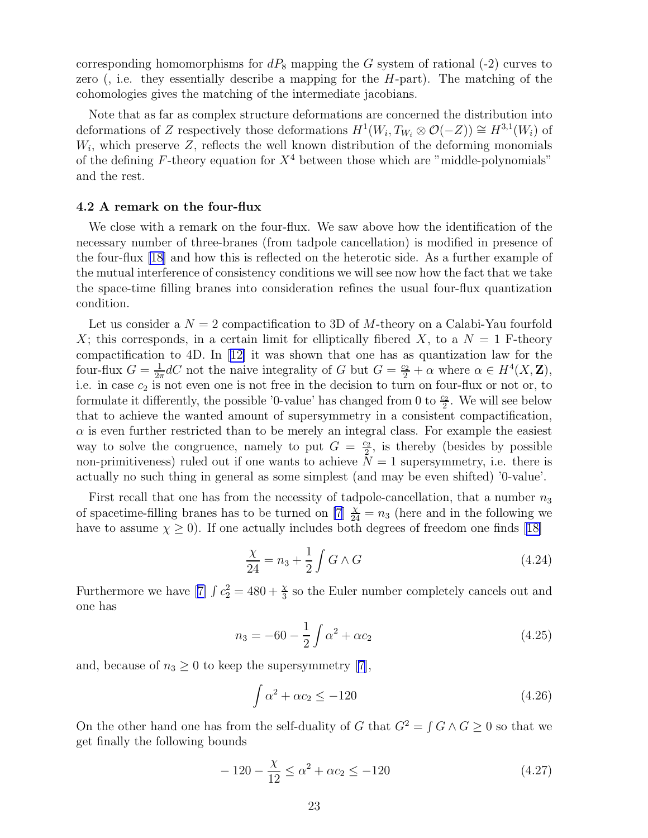corresponding homomorphisms for  $dP_8$  mapping the G system of rational (-2) curves to zero (, i.e. they essentially describe a mapping for the  $H$ -part). The matching of the cohomologies gives the matching of the intermediate jacobians.

Note that as far as complex structure deformations are concerned the distribution into deformations of Z respectively those deformations  $H^1(W_i, T_{W_i} \otimes \mathcal{O}(-Z)) \cong H^{3,1}(W_i)$  of  $W_i$ , which preserve  $Z$ , reflects the well known distribution of the deforming monomials of the defining  $F$ -theory equation for  $X<sup>4</sup>$  between those which are "middle-polynomials" and the rest.

#### 4.2 A remark on the four-flux

We close with a remark on the four-flux. We saw above how the identification of the necessary number of three-branes (from tadpole cancellation) is modified in presence of the four-flux [\[18](#page-26-0)] and how this is reflected on the heterotic side. As a further example of the mutual interference of consistency conditions we will see now how the fact that we take the space-time filling branes into consideration refines the usual four-flux quantization condition.

Let us consider a  $N = 2$  compactification to 3D of M-theory on a Calabi-Yau fourfold X; this corresponds, in a certain limit for elliptically fibered X, to a  $N = 1$  F-theory compactification to 4D. In[[12\]](#page-26-0) it was shown that one has as quantization law for the four-flux  $G = \frac{1}{2a}$  $\frac{1}{2\pi}dC$  not the naive integrality of G but  $G = \frac{c_2}{2} + \alpha$  where  $\alpha \in H^4(X, \mathbb{Z}),$ i.e. in case  $c_2$  is not even one is not free in the decision to turn on four-flux or not or, to formulate it differently, the possible '0-value' has changed from 0 to  $\frac{c_2}{2}$ . We will see below that to achieve the wanted amount of supersymmetry in a consistent compactification,  $\alpha$  is even further restricted than to be merely an integral class. For example the easiest way to solve the congruence, namely to put  $G = \frac{c_2}{2}$  $\frac{22}{2}$ , is thereby (besides by possible non-primitiveness) ruled out if one wants to achieve  $N = 1$  supersymmetry, i.e. there is actually no such thing in general as some simplest (and may be even shifted) '0-value'.

First recall that one has from the necessity of tadpole-cancellation, that a number  $n_3$ of spacetime-filling branes has to be turned on [\[7](#page-26-0)]  $\frac{\chi}{24} = n_3$  (here and in the following we haveto assume  $\chi \geq 0$ . If one actually includes both degrees of freedom one finds [[18\]](#page-26-0)

$$
\frac{\chi}{24} = n_3 + \frac{1}{2} \int G \wedge G \tag{4.24}
$$

Furthermorewe have [[7\]](#page-26-0)  $\int c_2^2 = 480 + \frac{\chi}{3}$  so the Euler number completely cancels out and one has

$$
n_3 = -60 - \frac{1}{2} \int \alpha^2 + \alpha c_2 \tag{4.25}
$$

and,because of  $n_3 \geq 0$  to keep the supersymmetry [[7\]](#page-26-0),

$$
\int \alpha^2 + \alpha c_2 \le -120\tag{4.26}
$$

On the other hand one has from the self-duality of G that  $G^2 = \int G \wedge G \geq 0$  so that we get finally the following bounds

$$
-120 - \frac{\chi}{12} \le \alpha^2 + \alpha c_2 \le -120\tag{4.27}
$$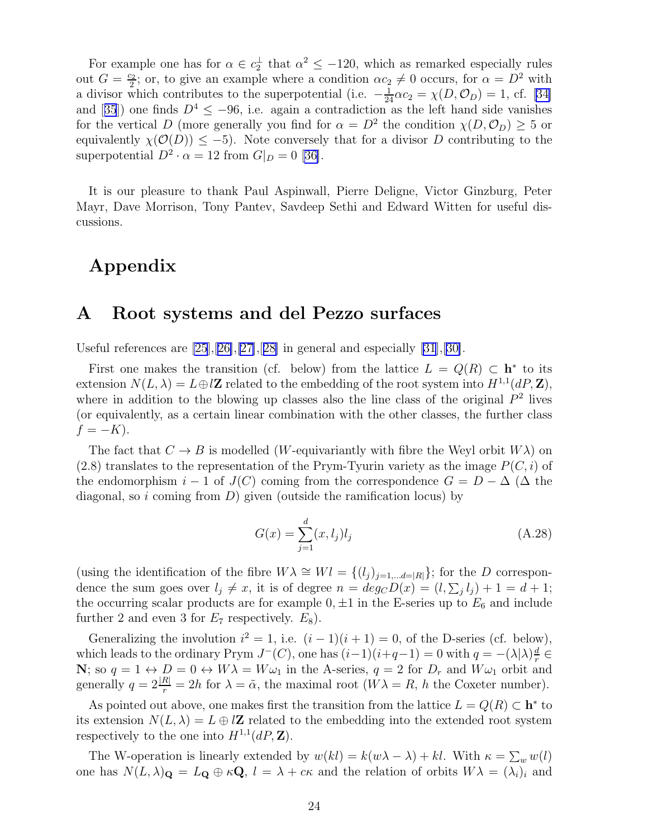For example one has for  $\alpha \in c_2^{\perp}$  that  $\alpha^2 \leq -120$ , which as remarked especially rules out  $G=\frac{c_2}{2}$  $\alpha_2^2$ ; or, to give an example where a condition  $\alpha c_2 \neq 0$  occurs, for  $\alpha = D^2$  with adivisor which contributes to the superpotential (i.e.  $-\frac{1}{24}\alpha c_2 = \chi(D, \mathcal{O}_D) = 1$ , cf. [[34\]](#page-27-0) and[[35](#page-27-0)]) one finds  $D^4 \leq -96$ , i.e. again a contradiction as the left hand side vanishes for the vertical D (more generally you find for  $\alpha = D^2$  the condition  $\chi(D, \mathcal{O}_D) \geq 5$  or equivalently  $\chi(\mathcal{O}(D)) \leq -5$ ). Note conversely that for a divisor D contributing to the superpotential $D^2 \cdot \alpha = 12$  from  $G|_{D} = 0$  [[36\]](#page-27-0).

It is our pleasure to thank Paul Aspinwall, Pierre Deligne, Victor Ginzburg, Peter Mayr, Dave Morrison, Tony Pantev, Savdeep Sethi and Edward Witten for useful discussions.

# Appendix

## A Root systems and del Pezzo surfaces

Useful references are  $[25],[26],[27],[28]$  $[25],[26],[27],[28]$  $[25],[26],[27],[28]$  $[25],[26],[27],[28]$  $[25],[26],[27],[28]$  $[25],[26],[27],[28]$  in general and especially  $[31],[30]$  $[31],[30]$ .

First one makes the transition (cf. below) from the lattice  $L = Q(R) \subset \mathbf{h}^*$  to its extension  $N(L, \lambda) = L \oplus l\mathbb{Z}$  related to the embedding of the root system into  $H^{1,1}(dP, \mathbb{Z}),$ where in addition to the blowing up classes also the line class of the original  $P<sup>2</sup>$  lives (or equivalently, as a certain linear combination with the other classes, the further class  $f = -K$ ).

The fact that  $C \to B$  is modelled (*W*-equivariantly with fibre the Weyl orbit  $W\lambda$ ) on  $(2.8)$  translates to the representation of the Prym-Tyurin variety as the image  $P(C, i)$  of the endomorphism  $i-1$  of  $J(C)$  coming from the correspondence  $G = D - \Delta$  ( $\Delta$  the diagonal, so i coming from  $D$ ) given (outside the ramification locus) by

$$
G(x) = \sum_{j=1}^{d} (x, l_j) l_j
$$
 (A.28)

(using the identification of the fibre  $W\lambda \cong Wl = \{(l_j)_{j=1,...d=|R|}\}\$ ; for the D correspondence the sum goes over  $l_j \neq x$ , it is of degree  $n = deg_C D(x) = (l, \sum_j l_j) + 1 = d + 1$ ; the occurring scalar products are for example  $0, \pm 1$  in the E-series up to  $E_6$  and include further 2 and even 3 for  $E_7$  respectively.  $E_8$ ).

Generalizing the involution  $i^2 = 1$ , i.e.  $(i - 1)(i + 1) = 0$ , of the D-series (cf. below), which leads to the ordinary Prym  $J^{-}(C)$ , one has  $(i-1)(i+q-1) = 0$  with  $q = -\lambda |\lambda| \frac{d}{r}$  $\frac{d}{r}\in$ N; so  $q = 1 \leftrightarrow D = 0 \leftrightarrow W\lambda = W\omega_1$  in the A-series,  $q = 2$  for  $D_r$  and  $W\omega_1$  orbit and generally  $q = 2\frac{|R|}{r} = 2h$  for  $\lambda = \tilde{\alpha}$ , the maximal root  $(W\lambda = R, h$  the Coxeter number).

As pointed out above, one makes first the transition from the lattice  $L = Q(R) \subset \mathbf{h}^*$  to its extension  $N(L, \lambda) = L \oplus l\mathbb{Z}$  related to the embedding into the extended root system respectively to the one into  $H^{1,1}(dP,\mathbf{Z})$ .

The W-operation is linearly extended by  $w(kl) = k(w\lambda - \lambda) + kl$ . With  $\kappa = \sum_{w} w(l)$ one has  $N(L, \lambda)_{\mathbf{Q}} = L_{\mathbf{Q}} \oplus \kappa \mathbf{Q}, l = \lambda + c\kappa$  and the relation of orbits  $W\lambda = (\lambda_i)_i$  and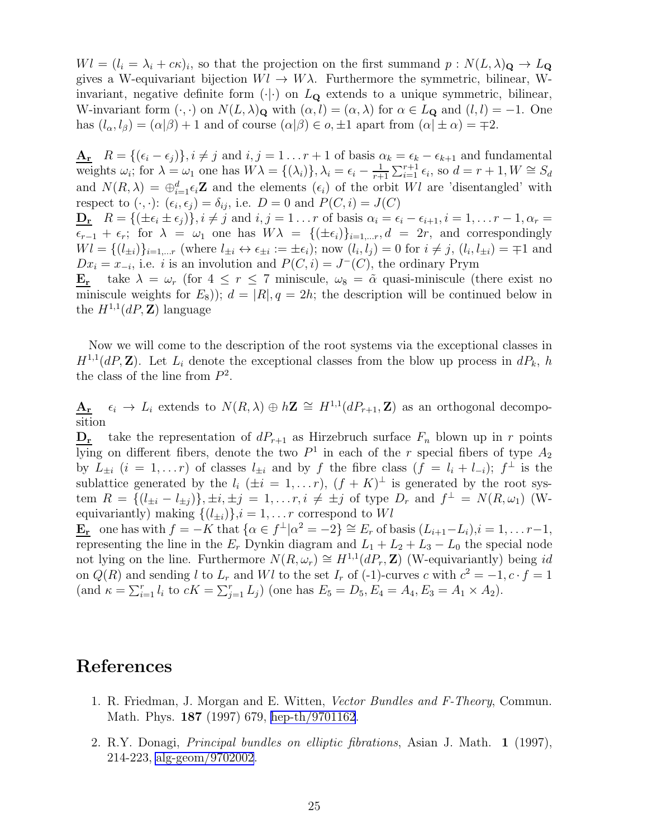<span id="page-25-0"></span> $Wl = (l_i = \lambda_i + c\kappa)_i$ , so that the projection on the first summand  $p : N(L, \lambda)_{\mathbf{Q}} \to L_{\mathbf{Q}}$ gives a W-equivariant bijection  $Wl \to W\lambda$ . Furthermore the symmetric, bilinear, Winvariant, negative definite form  $(\cdot | \cdot)$  on  $L_{\mathbf{Q}}$  extends to a unique symmetric, bilinear, W-invariant form  $(\cdot, \cdot)$  on  $N(L, \lambda)_{\mathbf{Q}}$  with  $(\alpha, l) = (\alpha, \lambda)$  for  $\alpha \in L_{\mathbf{Q}}$  and  $(l, l) = -1$ . One has  $(l_{\alpha}, l_{\beta}) = (\alpha|\beta) + 1$  and of course  $(\alpha|\beta) \in o, \pm 1$  apart from  $(\alpha|\pm \alpha) = \pm 2$ .

 $\underline{\mathbf{A_r}}$   $R = \{(\epsilon_i - \epsilon_j)\}, i \neq j \text{ and } i, j = 1 \dots r+1 \text{ of basis } \alpha_k = \epsilon_k - \epsilon_{k+1} \text{ and fundamental }$ weights  $\omega_i$ ; for  $\lambda = \omega_1$  one has  $W\lambda = \{(\lambda_i)\}, \lambda_i = \epsilon_i - \frac{1}{r+1}$  $\frac{1}{r+1} \sum_{i=1}^{r+1} \epsilon_i$ , so  $d = r + 1, W \cong S_d$ and  $N(R, \lambda) = \bigoplus_{i=1}^d \epsilon_i \mathbf{Z}$  and the elements  $(\epsilon_i)$  of the orbit Wl are 'disentangled' with respect to  $(\cdot, \cdot)$ :  $(\epsilon_i, \epsilon_j) = \delta_{ij}$ , i.e.  $D = 0$  and  $P(C, i) = J(C)$  $\mathbf{D_r}$   $R = \{(\pm \epsilon_i \pm \epsilon_j)\}, i \neq j \text{ and } i, j = 1 \dots r \text{ of basis } \alpha_i = \epsilon_i - \epsilon_{i+1}, i = 1, \dots r-1, \alpha_r = 1 \}$  $\epsilon_{r-1} + \epsilon_r$ ; for  $\lambda = \omega_1$  one has  $W\lambda = \{(\pm \epsilon_i)\}_{i=1,...r}, d = 2r$ , and correspondingly  $Wl = \{(l_{\pm i})\}_{i=1,\dots r}$  (where  $l_{\pm i} \leftrightarrow \epsilon_{\pm i} := \pm \epsilon_i$ ); now  $(l_i, l_j) = 0$  for  $i \neq j$ ,  $(l_i, l_{\pm i}) = \mp 1$  and  $Dx_i = x_{-i}$ , i.e. i is an involution and  $P(C, i) = J^{-1}(C)$ , the ordinary Prym **E<sub>r</sub>** take  $\lambda = \omega_r$  (for  $4 \leq r \leq 7$  miniscule,  $\omega_8 = \tilde{\alpha}$  quasi-miniscule (there exist no

miniscule weights for  $E_8$ ));  $d = |R|, q = 2h$ ; the description will be continued below in the  $H^{1,1}(dP,\mathbf{Z})$  language

Now we will come to the description of the root systems via the exceptional classes in  $H^{1,1}(dP,\mathbf{Z})$ . Let  $L_i$  denote the exceptional classes from the blow up process in  $dP_k$ , h the class of the line from  $P^2$ .

 $A_r$   $\epsilon_i \to L_i$  extends to  $N(R, \lambda) \oplus h\mathbf{Z} \cong H^{1,1}(dP_{r+1}, \mathbf{Z})$  as an orthogonal decomposition

 $\mathbf{D}_{\mathbf{r}}$  take the representation of  $dP_{r+1}$  as Hirzebruch surface  $F_n$  blown up in r points lying on different fibers, denote the two  $P^1$  in each of the r special fibers of type  $A_2$ by  $L_{\pm i}$   $(i = 1, \ldots r)$  of classes  $l_{\pm i}$  and by f the fibre class  $(f = l_i + l_{-i}); f^{\perp}$  is the sublattice generated by the  $l_i$  ( $\pm i = 1,...r$ ),  $(f + K)^{\perp}$  is generated by the root system  $R = \{(l_{\pm i} - l_{\pm j})\}, \pm i, \pm j = 1, \dots r, i \neq \pm j$  of type  $D_r$  and  $f^{\perp} = N(R, \omega_1)$  (Wequivariantly) making  $\{(l_{\pm i})\}\,i = 1, \ldots r$  correspond to Wl

 $\underline{\mathbf{E_r}}$  one has with  $f = -K$  that  $\{\alpha \in f^{\perp} | \alpha^2 = -2\} \cong E_r$  of basis  $(L_{i+1} - L_i), i = 1, \ldots r-1,$ representing the line in the  $E_r$  Dynkin diagram and  $L_1 + L_2 + L_3 - L_0$  the special node not lying on the line. Furthermore  $N(R, \omega_r) \cong H^{1,1}(dP_r, \mathbb{Z})$  (W-equivariantly) being id on  $Q(R)$  and sending l to  $L_r$  and Wl to the set  $I_r$  of (-1)-curves c with  $c^2 = -1, c \cdot f = 1$ (and  $\kappa = \sum_{i=1}^r l_i$  to  $cK = \sum_{j=1}^r L_j$ ) (one has  $E_5 = D_5, E_4 = A_4, E_3 = A_1 \times A_2$ ).

# References

- 1. R. Friedman, J. Morgan and E. Witten, Vector Bundles and F-Theory, Commun. Math. Phys. 187 (1997) 679, [hep-th/9701162](http://arxiv.org/abs/hep-th/9701162).
- 2. R.Y. Donagi, Principal bundles on elliptic fibrations, Asian J. Math. 1 (1997), 214-223, [alg-geom/9702002](http://arxiv.org/abs/alg-geom/9702002).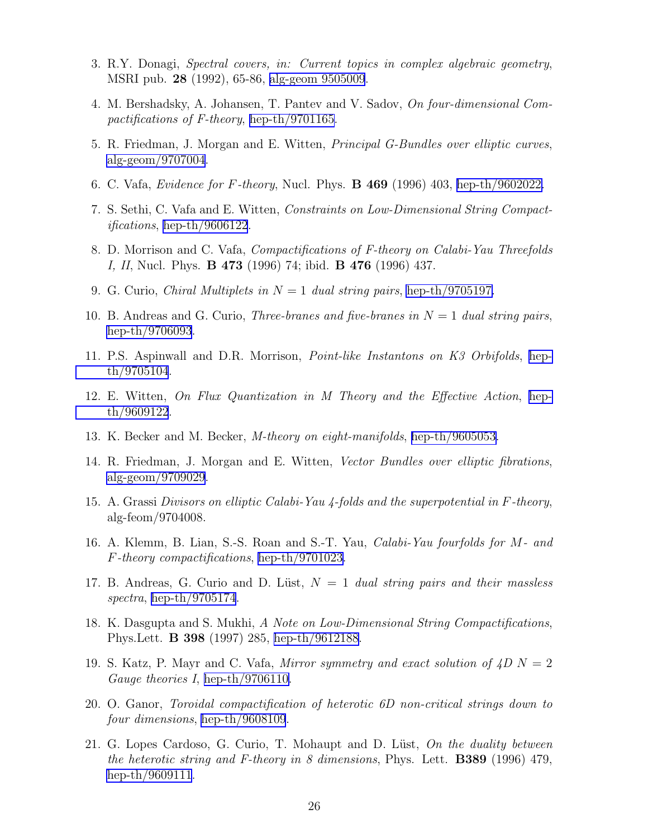- <span id="page-26-0"></span>3. R.Y. Donagi, Spectral covers, in: Current topics in complex algebraic geometry, MSRI pub. 28 (1992), 65-86, [alg-geom 9505009](http://arxiv.org/abs/alg-geom/9505009).
- 4. M. Bershadsky, A. Johansen, T. Pantev and V. Sadov, On four-dimensional Compactifications of F-theory, [hep-th/9701165.](http://arxiv.org/abs/hep-th/9701165)
- 5. R. Friedman, J. Morgan and E. Witten, Principal G-Bundles over elliptic curves, [alg-geom/9707004.](http://arxiv.org/abs/alg-geom/9707004)
- 6. C. Vafa, Evidence for F-theory, Nucl. Phys. B 469 (1996) 403, [hep-th/9602022.](http://arxiv.org/abs/hep-th/9602022)
- 7. S. Sethi, C. Vafa and E. Witten, Constraints on Low-Dimensional String Compact*ifications*, [hep-th/9606122](http://arxiv.org/abs/hep-th/9606122).
- 8. D. Morrison and C. Vafa, Compactifications of F-theory on Calabi-Yau Threefolds I, II, Nucl. Phys. B 473 (1996) 74; ibid. B 476 (1996) 437.
- 9. G. Curio, *Chiral Multiplets in*  $N = 1$  dual string pairs, [hep-th/9705197.](http://arxiv.org/abs/hep-th/9705197)
- 10. B. Andreas and G. Curio, *Three-branes and five-branes in*  $N = 1$  dual string pairs, [hep-th/9706093](http://arxiv.org/abs/hep-th/9706093).
- 11. P.S. Aspinwall and D.R. Morrison, Point-like Instantons on K3 Orbifolds, [hep](http://arxiv.org/abs/hep-th/9705104)[th/9705104](http://arxiv.org/abs/hep-th/9705104).
- 12. E. Witten, On Flux Quantization in M Theory and the Effective Action, [hep](http://arxiv.org/abs/hep-th/9609122)[th/9609122](http://arxiv.org/abs/hep-th/9609122).
- 13. K. Becker and M. Becker, M-theory on eight-manifolds, [hep-th/9605053.](http://arxiv.org/abs/hep-th/9605053)
- 14. R. Friedman, J. Morgan and E. Witten, Vector Bundles over elliptic fibrations, [alg-geom/9709029.](http://arxiv.org/abs/alg-geom/9709029)
- 15. A. Grassi Divisors on elliptic Calabi-Yau 4-folds and the superpotential in F-theory, alg-feom/9704008.
- 16. A. Klemm, B. Lian, S.-S. Roan and S.-T. Yau, Calabi-Yau fourfolds for M- and F-theory compactifications, [hep-th/9701023](http://arxiv.org/abs/hep-th/9701023).
- 17. B. Andreas, G. Curio and D. Lüst,  $N = 1$  dual string pairs and their massless spectra, [hep-th/9705174](http://arxiv.org/abs/hep-th/9705174).
- 18. K. Dasgupta and S. Mukhi, A Note on Low-Dimensional String Compactifications, Phys.Lett. B 398 (1997) 285, [hep-th/9612188](http://arxiv.org/abs/hep-th/9612188).
- 19. S. Katz, P. Mayr and C. Vafa, Mirror symmetry and exact solution of  $4D N = 2$ Gauge theories I, [hep-th/9706110.](http://arxiv.org/abs/hep-th/9706110)
- 20. O. Ganor, Toroidal compactification of heterotic 6D non-critical strings down to four dimensions, [hep-th/9608109](http://arxiv.org/abs/hep-th/9608109).
- 21. G. Lopes Cardoso, G. Curio, T. Mohaupt and D. Lüst, On the duality between the heterotic string and F-theory in 8 dimensions, Phys. Lett. **B389** (1996) 479, [hep-th/9609111](http://arxiv.org/abs/hep-th/9609111).